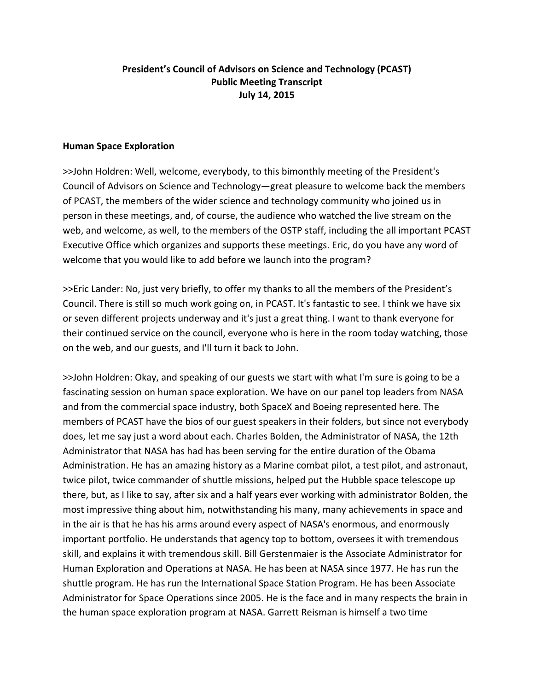## **President's Council of Advisors on Science and Technology (PCAST) Public Meeting Transcript July 14, 2015**

### **Human Space Exploration**

>>John Holdren: Well, welcome, everybody, to this bimonthly meeting of the President's Council of Advisors on Science and Technology—great pleasure to welcome back the members of PCAST, the members of the wider science and technology community who joined us in person in these meetings, and, of course, the audience who watched the live stream on the web, and welcome, as well, to the members of the OSTP staff, including the all important PCAST Executive Office which organizes and supports these meetings. Eric, do you have any word of welcome that you would like to add before we launch into the program?

>>Eric Lander: No, just very briefly, to offer my thanks to all the members of the President's Council. There is still so much work going on, in PCAST. It's fantastic to see. I think we have six or seven different projects underway and it's just a great thing. I want to thank everyone for their continued service on the council, everyone who is here in the room today watching, those on the web, and our guests, and I'll turn it back to John.

>>John Holdren: Okay, and speaking of our guests we start with what I'm sure is going to be a fascinating session on human space exploration. We have on our panel top leaders from NASA and from the commercial space industry, both SpaceX and Boeing represented here. The members of PCAST have the bios of our guest speakers in their folders, but since not everybody does, let me say just a word about each. Charles Bolden, the Administrator of NASA, the 12th Administrator that NASA has had has been serving for the entire duration of the Obama Administration. He has an amazing history as a Marine combat pilot, a test pilot, and astronaut, twice pilot, twice commander of shuttle missions, helped put the Hubble space telescope up there, but, as I like to say, after six and a half years ever working with administrator Bolden, the most impressive thing about him, notwithstanding his many, many achievements in space and in the air is that he has his arms around every aspect of NASA's enormous, and enormously important portfolio. He understands that agency top to bottom, oversees it with tremendous skill, and explains it with tremendous skill. Bill Gerstenmaier is the Associate Administrator for Human Exploration and Operations at NASA. He has been at NASA since 1977. He has run the shuttle program. He has run the International Space Station Program. He has been Associate Administrator for Space Operations since 2005. He is the face and in many respects the brain in the human space exploration program at NASA. Garrett Reisman is himself a two time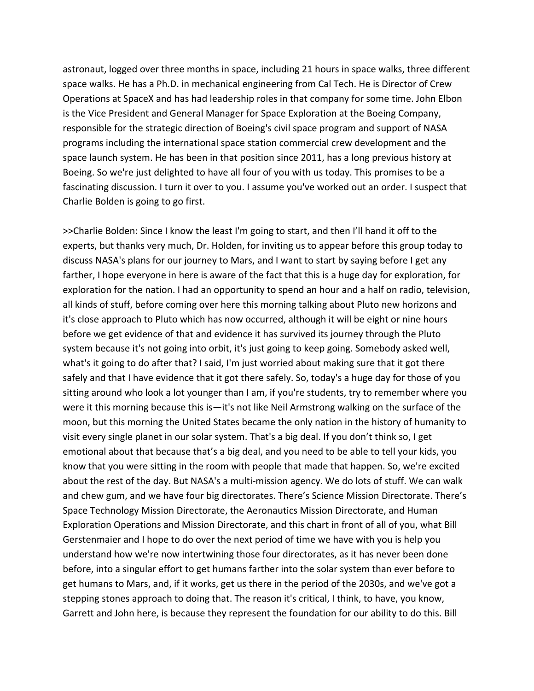astronaut, logged over three months in space, including 21 hours in space walks, three different space walks. He has a Ph.D. in mechanical engineering from Cal Tech. He is Director of Crew Operations at SpaceX and has had leadership roles in that company for some time. John Elbon is the Vice President and General Manager for Space Exploration at the Boeing Company, responsible for the strategic direction of Boeing's civil space program and support of NASA programs including the international space station commercial crew development and the space launch system. He has been in that position since 2011, has a long previous history at Boeing. So we're just delighted to have all four of you with us today. This promises to be a fascinating discussion. I turn it over to you. I assume you've worked out an order. I suspect that Charlie Bolden is going to go first.

>>Charlie Bolden: Since I know the least I'm going to start, and then I'll hand it off to the experts, but thanks very much, Dr. Holden, for inviting us to appear before this group today to discuss NASA's plans for our journey to Mars, and I want to start by saying before I get any farther, I hope everyone in here is aware of the fact that this is a huge day for exploration, for exploration for the nation. I had an opportunity to spend an hour and a half on radio, television, all kinds of stuff, before coming over here this morning talking about Pluto new horizons and it's close approach to Pluto which has now occurred, although it will be eight or nine hours before we get evidence of that and evidence it has survived its journey through the Pluto system because it's not going into orbit, it's just going to keep going. Somebody asked well, what's it going to do after that? I said, I'm just worried about making sure that it got there safely and that I have evidence that it got there safely. So, today's a huge day for those of you sitting around who look a lot younger than I am, if you're students, try to remember where you were it this morning because this is—it's not like Neil Armstrong walking on the surface of the moon, but this morning the United States became the only nation in the history of humanity to visit every single planet in our solar system. That's a big deal. If you don't think so, I get emotional about that because that's a big deal, and you need to be able to tell your kids, you know that you were sitting in the room with people that made that happen. So, we're excited about the rest of the day. But NASA's a multi‐mission agency. We do lots of stuff. We can walk and chew gum, and we have four big directorates. There's Science Mission Directorate. There's Space Technology Mission Directorate, the Aeronautics Mission Directorate, and Human Exploration Operations and Mission Directorate, and this chart in front of all of you, what Bill Gerstenmaier and I hope to do over the next period of time we have with you is help you understand how we're now intertwining those four directorates, as it has never been done before, into a singular effort to get humans farther into the solar system than ever before to get humans to Mars, and, if it works, get us there in the period of the 2030s, and we've got a stepping stones approach to doing that. The reason it's critical, I think, to have, you know, Garrett and John here, is because they represent the foundation for our ability to do this. Bill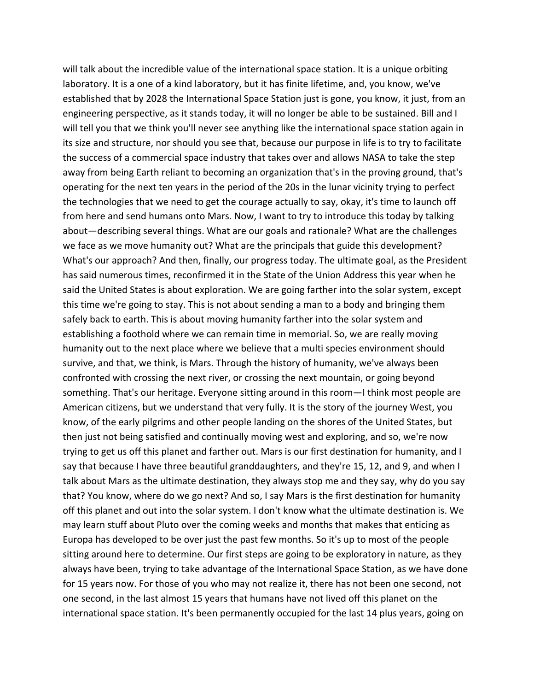will talk about the incredible value of the international space station. It is a unique orbiting laboratory. It is a one of a kind laboratory, but it has finite lifetime, and, you know, we've established that by 2028 the International Space Station just is gone, you know, it just, from an engineering perspective, as it stands today, it will no longer be able to be sustained. Bill and I will tell you that we think you'll never see anything like the international space station again in its size and structure, nor should you see that, because our purpose in life is to try to facilitate the success of a commercial space industry that takes over and allows NASA to take the step away from being Earth reliant to becoming an organization that's in the proving ground, that's operating for the next ten years in the period of the 20s in the lunar vicinity trying to perfect the technologies that we need to get the courage actually to say, okay, it's time to launch off from here and send humans onto Mars. Now, I want to try to introduce this today by talking about—describing several things. What are our goals and rationale? What are the challenges we face as we move humanity out? What are the principals that guide this development? What's our approach? And then, finally, our progress today. The ultimate goal, as the President has said numerous times, reconfirmed it in the State of the Union Address this year when he said the United States is about exploration. We are going farther into the solar system, except this time we're going to stay. This is not about sending a man to a body and bringing them safely back to earth. This is about moving humanity farther into the solar system and establishing a foothold where we can remain time in memorial. So, we are really moving humanity out to the next place where we believe that a multi species environment should survive, and that, we think, is Mars. Through the history of humanity, we've always been confronted with crossing the next river, or crossing the next mountain, or going beyond something. That's our heritage. Everyone sitting around in this room—I think most people are American citizens, but we understand that very fully. It is the story of the journey West, you know, of the early pilgrims and other people landing on the shores of the United States, but then just not being satisfied and continually moving west and exploring, and so, we're now trying to get us off this planet and farther out. Mars is our first destination for humanity, and I say that because I have three beautiful granddaughters, and they're 15, 12, and 9, and when I talk about Mars as the ultimate destination, they always stop me and they say, why do you say that? You know, where do we go next? And so, I say Mars is the first destination for humanity off this planet and out into the solar system. I don't know what the ultimate destination is. We may learn stuff about Pluto over the coming weeks and months that makes that enticing as Europa has developed to be over just the past few months. So it's up to most of the people sitting around here to determine. Our first steps are going to be exploratory in nature, as they always have been, trying to take advantage of the International Space Station, as we have done for 15 years now. For those of you who may not realize it, there has not been one second, not one second, in the last almost 15 years that humans have not lived off this planet on the international space station. It's been permanently occupied for the last 14 plus years, going on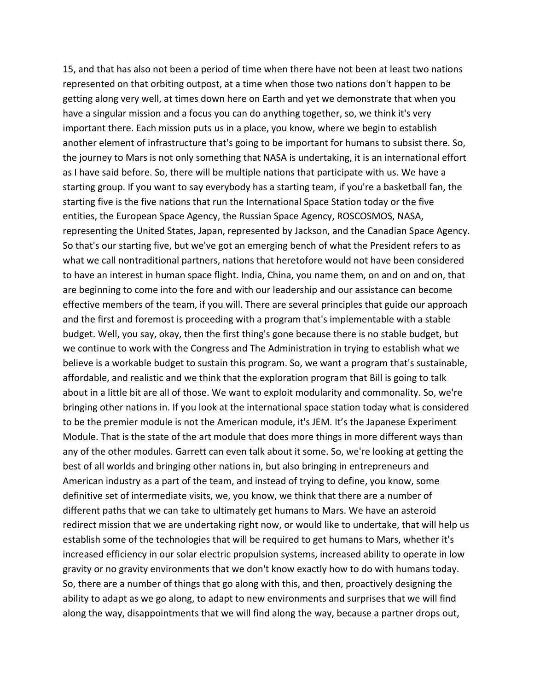15, and that has also not been a period of time when there have not been at least two nations represented on that orbiting outpost, at a time when those two nations don't happen to be getting along very well, at times down here on Earth and yet we demonstrate that when you have a singular mission and a focus you can do anything together, so, we think it's very important there. Each mission puts us in a place, you know, where we begin to establish another element of infrastructure that's going to be important for humans to subsist there. So, the journey to Mars is not only something that NASA is undertaking, it is an international effort as I have said before. So, there will be multiple nations that participate with us. We have a starting group. If you want to say everybody has a starting team, if you're a basketball fan, the starting five is the five nations that run the International Space Station today or the five entities, the European Space Agency, the Russian Space Agency, ROSCOSMOS, NASA, representing the United States, Japan, represented by Jackson, and the Canadian Space Agency. So that's our starting five, but we've got an emerging bench of what the President refers to as what we call nontraditional partners, nations that heretofore would not have been considered to have an interest in human space flight. India, China, you name them, on and on and on, that are beginning to come into the fore and with our leadership and our assistance can become effective members of the team, if you will. There are several principles that guide our approach and the first and foremost is proceeding with a program that's implementable with a stable budget. Well, you say, okay, then the first thing's gone because there is no stable budget, but we continue to work with the Congress and The Administration in trying to establish what we believe is a workable budget to sustain this program. So, we want a program that's sustainable, affordable, and realistic and we think that the exploration program that Bill is going to talk about in a little bit are all of those. We want to exploit modularity and commonality. So, we're bringing other nations in. If you look at the international space station today what is considered to be the premier module is not the American module, it's JEM. It's the Japanese Experiment Module. That is the state of the art module that does more things in more different ways than any of the other modules. Garrett can even talk about it some. So, we're looking at getting the best of all worlds and bringing other nations in, but also bringing in entrepreneurs and American industry as a part of the team, and instead of trying to define, you know, some definitive set of intermediate visits, we, you know, we think that there are a number of different paths that we can take to ultimately get humans to Mars. We have an asteroid redirect mission that we are undertaking right now, or would like to undertake, that will help us establish some of the technologies that will be required to get humans to Mars, whether it's increased efficiency in our solar electric propulsion systems, increased ability to operate in low gravity or no gravity environments that we don't know exactly how to do with humans today. So, there are a number of things that go along with this, and then, proactively designing the ability to adapt as we go along, to adapt to new environments and surprises that we will find along the way, disappointments that we will find along the way, because a partner drops out,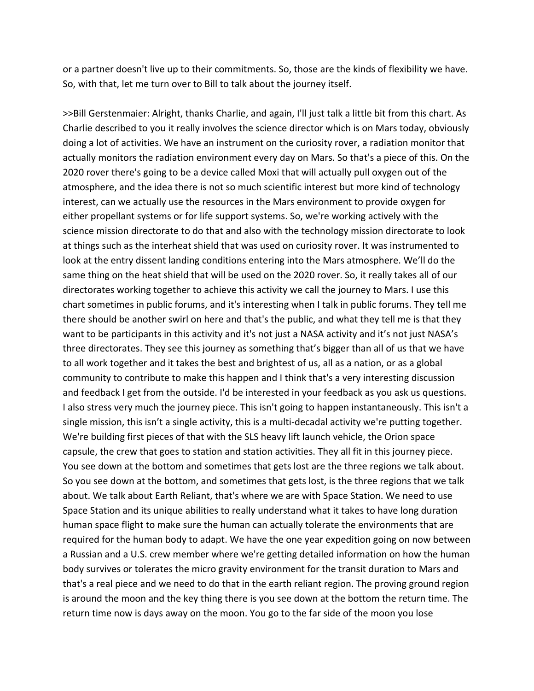or a partner doesn't live up to their commitments. So, those are the kinds of flexibility we have. So, with that, let me turn over to Bill to talk about the journey itself.

>>Bill Gerstenmaier: Alright, thanks Charlie, and again, I'll just talk a little bit from this chart. As Charlie described to you it really involves the science director which is on Mars today, obviously doing a lot of activities. We have an instrument on the curiosity rover, a radiation monitor that actually monitors the radiation environment every day on Mars. So that's a piece of this. On the 2020 rover there's going to be a device called Moxi that will actually pull oxygen out of the atmosphere, and the idea there is not so much scientific interest but more kind of technology interest, can we actually use the resources in the Mars environment to provide oxygen for either propellant systems or for life support systems. So, we're working actively with the science mission directorate to do that and also with the technology mission directorate to look at things such as the interheat shield that was used on curiosity rover. It was instrumented to look at the entry dissent landing conditions entering into the Mars atmosphere. We'll do the same thing on the heat shield that will be used on the 2020 rover. So, it really takes all of our directorates working together to achieve this activity we call the journey to Mars. I use this chart sometimes in public forums, and it's interesting when I talk in public forums. They tell me there should be another swirl on here and that's the public, and what they tell me is that they want to be participants in this activity and it's not just a NASA activity and it's not just NASA's three directorates. They see this journey as something that's bigger than all of us that we have to all work together and it takes the best and brightest of us, all as a nation, or as a global community to contribute to make this happen and I think that's a very interesting discussion and feedback I get from the outside. I'd be interested in your feedback as you ask us questions. I also stress very much the journey piece. This isn't going to happen instantaneously. This isn't a single mission, this isn't a single activity, this is a multi-decadal activity we're putting together. We're building first pieces of that with the SLS heavy lift launch vehicle, the Orion space capsule, the crew that goes to station and station activities. They all fit in this journey piece. You see down at the bottom and sometimes that gets lost are the three regions we talk about. So you see down at the bottom, and sometimes that gets lost, is the three regions that we talk about. We talk about Earth Reliant, that's where we are with Space Station. We need to use Space Station and its unique abilities to really understand what it takes to have long duration human space flight to make sure the human can actually tolerate the environments that are required for the human body to adapt. We have the one year expedition going on now between a Russian and a U.S. crew member where we're getting detailed information on how the human body survives or tolerates the micro gravity environment for the transit duration to Mars and that's a real piece and we need to do that in the earth reliant region. The proving ground region is around the moon and the key thing there is you see down at the bottom the return time. The return time now is days away on the moon. You go to the far side of the moon you lose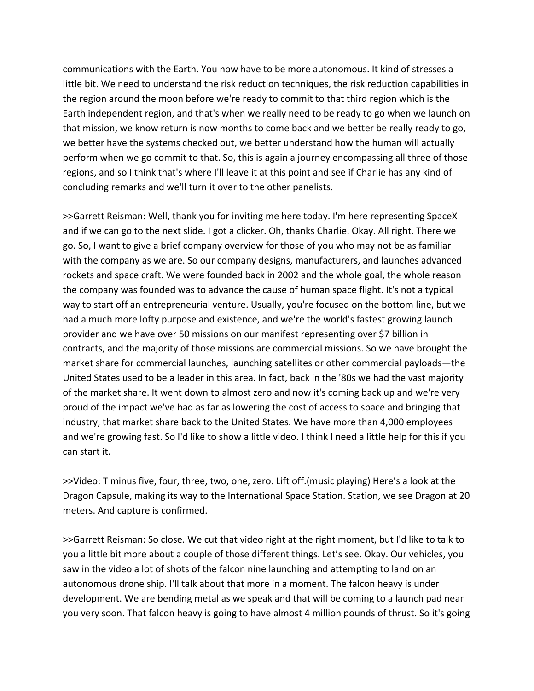communications with the Earth. You now have to be more autonomous. It kind of stresses a little bit. We need to understand the risk reduction techniques, the risk reduction capabilities in the region around the moon before we're ready to commit to that third region which is the Earth independent region, and that's when we really need to be ready to go when we launch on that mission, we know return is now months to come back and we better be really ready to go, we better have the systems checked out, we better understand how the human will actually perform when we go commit to that. So, this is again a journey encompassing all three of those regions, and so I think that's where I'll leave it at this point and see if Charlie has any kind of concluding remarks and we'll turn it over to the other panelists.

>>Garrett Reisman: Well, thank you for inviting me here today. I'm here representing SpaceX and if we can go to the next slide. I got a clicker. Oh, thanks Charlie. Okay. All right. There we go. So, I want to give a brief company overview for those of you who may not be as familiar with the company as we are. So our company designs, manufacturers, and launches advanced rockets and space craft. We were founded back in 2002 and the whole goal, the whole reason the company was founded was to advance the cause of human space flight. It's not a typical way to start off an entrepreneurial venture. Usually, you're focused on the bottom line, but we had a much more lofty purpose and existence, and we're the world's fastest growing launch provider and we have over 50 missions on our manifest representing over \$7 billion in contracts, and the majority of those missions are commercial missions. So we have brought the market share for commercial launches, launching satellites or other commercial payloads—the United States used to be a leader in this area. In fact, back in the '80s we had the vast majority of the market share. It went down to almost zero and now it's coming back up and we're very proud of the impact we've had as far as lowering the cost of access to space and bringing that industry, that market share back to the United States. We have more than 4,000 employees and we're growing fast. So I'd like to show a little video. I think I need a little help for this if you can start it.

>>Video: T minus five, four, three, two, one, zero. Lift off.(music playing) Here's a look at the Dragon Capsule, making its way to the International Space Station. Station, we see Dragon at 20 meters. And capture is confirmed.

>>Garrett Reisman: So close. We cut that video right at the right moment, but I'd like to talk to you a little bit more about a couple of those different things. Let's see. Okay. Our vehicles, you saw in the video a lot of shots of the falcon nine launching and attempting to land on an autonomous drone ship. I'll talk about that more in a moment. The falcon heavy is under development. We are bending metal as we speak and that will be coming to a launch pad near you very soon. That falcon heavy is going to have almost 4 million pounds of thrust. So it's going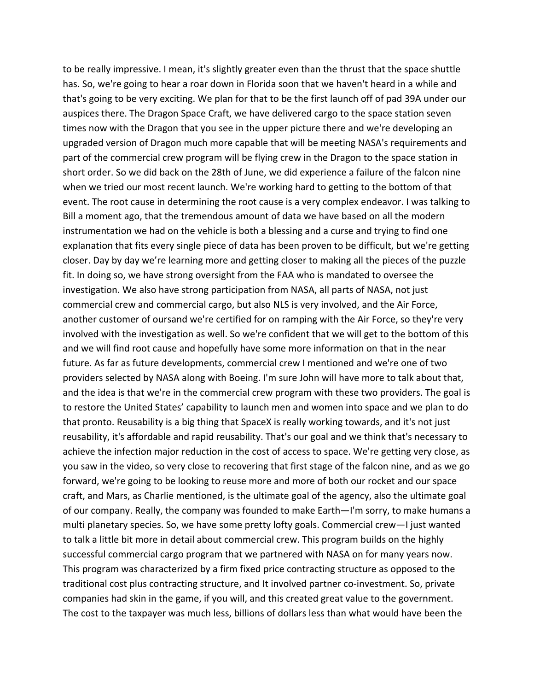to be really impressive. I mean, it's slightly greater even than the thrust that the space shuttle has. So, we're going to hear a roar down in Florida soon that we haven't heard in a while and that's going to be very exciting. We plan for that to be the first launch off of pad 39A under our auspices there. The Dragon Space Craft, we have delivered cargo to the space station seven times now with the Dragon that you see in the upper picture there and we're developing an upgraded version of Dragon much more capable that will be meeting NASA's requirements and part of the commercial crew program will be flying crew in the Dragon to the space station in short order. So we did back on the 28th of June, we did experience a failure of the falcon nine when we tried our most recent launch. We're working hard to getting to the bottom of that event. The root cause in determining the root cause is a very complex endeavor. I was talking to Bill a moment ago, that the tremendous amount of data we have based on all the modern instrumentation we had on the vehicle is both a blessing and a curse and trying to find one explanation that fits every single piece of data has been proven to be difficult, but we're getting closer. Day by day we're learning more and getting closer to making all the pieces of the puzzle fit. In doing so, we have strong oversight from the FAA who is mandated to oversee the investigation. We also have strong participation from NASA, all parts of NASA, not just commercial crew and commercial cargo, but also NLS is very involved, and the Air Force, another customer of oursand we're certified for on ramping with the Air Force, so they're very involved with the investigation as well. So we're confident that we will get to the bottom of this and we will find root cause and hopefully have some more information on that in the near future. As far as future developments, commercial crew I mentioned and we're one of two providers selected by NASA along with Boeing. I'm sure John will have more to talk about that, and the idea is that we're in the commercial crew program with these two providers. The goal is to restore the United States' capability to launch men and women into space and we plan to do that pronto. Reusability is a big thing that SpaceX is really working towards, and it's not just reusability, it's affordable and rapid reusability. That's our goal and we think that's necessary to achieve the infection major reduction in the cost of access to space. We're getting very close, as you saw in the video, so very close to recovering that first stage of the falcon nine, and as we go forward, we're going to be looking to reuse more and more of both our rocket and our space craft, and Mars, as Charlie mentioned, is the ultimate goal of the agency, also the ultimate goal of our company. Really, the company was founded to make Earth—I'm sorry, to make humans a multi planetary species. So, we have some pretty lofty goals. Commercial crew—I just wanted to talk a little bit more in detail about commercial crew. This program builds on the highly successful commercial cargo program that we partnered with NASA on for many years now. This program was characterized by a firm fixed price contracting structure as opposed to the traditional cost plus contracting structure, and It involved partner co-investment. So, private companies had skin in the game, if you will, and this created great value to the government. The cost to the taxpayer was much less, billions of dollars less than what would have been the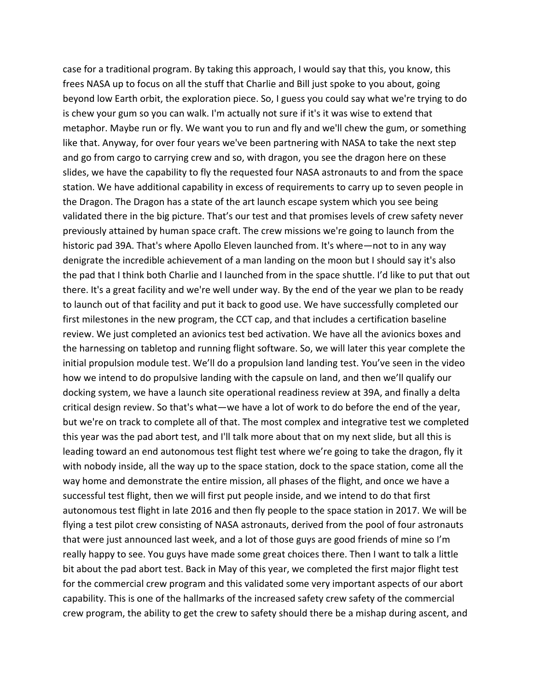case for a traditional program. By taking this approach, I would say that this, you know, this frees NASA up to focus on all the stuff that Charlie and Bill just spoke to you about, going beyond low Earth orbit, the exploration piece. So, I guess you could say what we're trying to do is chew your gum so you can walk. I'm actually not sure if it's it was wise to extend that metaphor. Maybe run or fly. We want you to run and fly and we'll chew the gum, or something like that. Anyway, for over four years we've been partnering with NASA to take the next step and go from cargo to carrying crew and so, with dragon, you see the dragon here on these slides, we have the capability to fly the requested four NASA astronauts to and from the space station. We have additional capability in excess of requirements to carry up to seven people in the Dragon. The Dragon has a state of the art launch escape system which you see being validated there in the big picture. That's our test and that promises levels of crew safety never previously attained by human space craft. The crew missions we're going to launch from the historic pad 39A. That's where Apollo Eleven launched from. It's where—not to in any way denigrate the incredible achievement of a man landing on the moon but I should say it's also the pad that I think both Charlie and I launched from in the space shuttle. I'd like to put that out there. It's a great facility and we're well under way. By the end of the year we plan to be ready to launch out of that facility and put it back to good use. We have successfully completed our first milestones in the new program, the CCT cap, and that includes a certification baseline review. We just completed an avionics test bed activation. We have all the avionics boxes and the harnessing on tabletop and running flight software. So, we will later this year complete the initial propulsion module test. We'll do a propulsion land landing test. You've seen in the video how we intend to do propulsive landing with the capsule on land, and then we'll qualify our docking system, we have a launch site operational readiness review at 39A, and finally a delta critical design review. So that's what—we have a lot of work to do before the end of the year, but we're on track to complete all of that. The most complex and integrative test we completed this year was the pad abort test, and I'll talk more about that on my next slide, but all this is leading toward an end autonomous test flight test where we're going to take the dragon, fly it with nobody inside, all the way up to the space station, dock to the space station, come all the way home and demonstrate the entire mission, all phases of the flight, and once we have a successful test flight, then we will first put people inside, and we intend to do that first autonomous test flight in late 2016 and then fly people to the space station in 2017. We will be flying a test pilot crew consisting of NASA astronauts, derived from the pool of four astronauts that were just announced last week, and a lot of those guys are good friends of mine so I'm really happy to see. You guys have made some great choices there. Then I want to talk a little bit about the pad abort test. Back in May of this year, we completed the first major flight test for the commercial crew program and this validated some very important aspects of our abort capability. This is one of the hallmarks of the increased safety crew safety of the commercial crew program, the ability to get the crew to safety should there be a mishap during ascent, and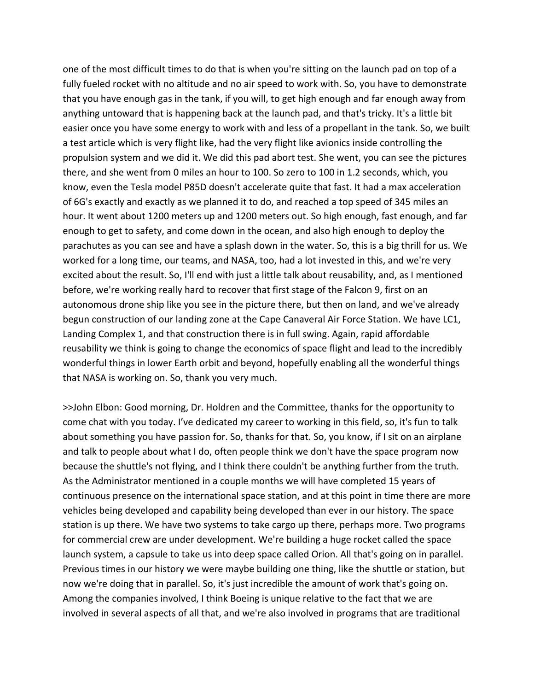one of the most difficult times to do that is when you're sitting on the launch pad on top of a fully fueled rocket with no altitude and no air speed to work with. So, you have to demonstrate that you have enough gas in the tank, if you will, to get high enough and far enough away from anything untoward that is happening back at the launch pad, and that's tricky. It's a little bit easier once you have some energy to work with and less of a propellant in the tank. So, we built a test article which is very flight like, had the very flight like avionics inside controlling the propulsion system and we did it. We did this pad abort test. She went, you can see the pictures there, and she went from 0 miles an hour to 100. So zero to 100 in 1.2 seconds, which, you know, even the Tesla model P85D doesn't accelerate quite that fast. It had a max acceleration of 6G's exactly and exactly as we planned it to do, and reached a top speed of 345 miles an hour. It went about 1200 meters up and 1200 meters out. So high enough, fast enough, and far enough to get to safety, and come down in the ocean, and also high enough to deploy the parachutes as you can see and have a splash down in the water. So, this is a big thrill for us. We worked for a long time, our teams, and NASA, too, had a lot invested in this, and we're very excited about the result. So, I'll end with just a little talk about reusability, and, as I mentioned before, we're working really hard to recover that first stage of the Falcon 9, first on an autonomous drone ship like you see in the picture there, but then on land, and we've already begun construction of our landing zone at the Cape Canaveral Air Force Station. We have LC1, Landing Complex 1, and that construction there is in full swing. Again, rapid affordable reusability we think is going to change the economics of space flight and lead to the incredibly wonderful things in lower Earth orbit and beyond, hopefully enabling all the wonderful things that NASA is working on. So, thank you very much.

>>John Elbon: Good morning, Dr. Holdren and the Committee, thanks for the opportunity to come chat with you today. I've dedicated my career to working in this field, so, it's fun to talk about something you have passion for. So, thanks for that. So, you know, if I sit on an airplane and talk to people about what I do, often people think we don't have the space program now because the shuttle's not flying, and I think there couldn't be anything further from the truth. As the Administrator mentioned in a couple months we will have completed 15 years of continuous presence on the international space station, and at this point in time there are more vehicles being developed and capability being developed than ever in our history. The space station is up there. We have two systems to take cargo up there, perhaps more. Two programs for commercial crew are under development. We're building a huge rocket called the space launch system, a capsule to take us into deep space called Orion. All that's going on in parallel. Previous times in our history we were maybe building one thing, like the shuttle or station, but now we're doing that in parallel. So, it's just incredible the amount of work that's going on. Among the companies involved, I think Boeing is unique relative to the fact that we are involved in several aspects of all that, and we're also involved in programs that are traditional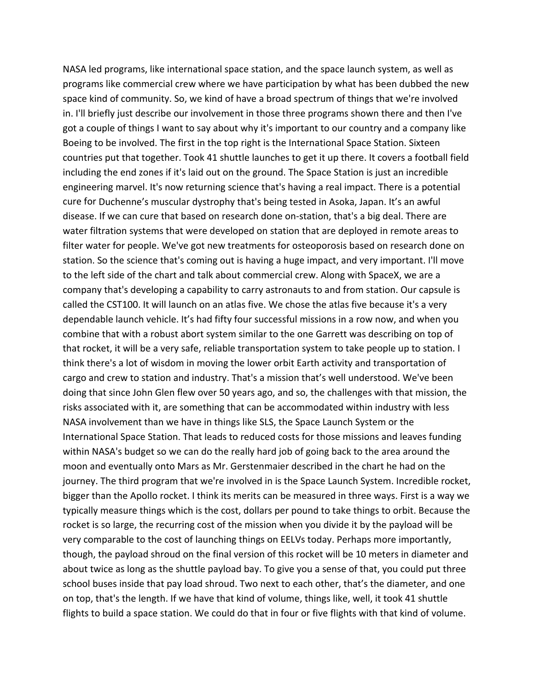NASA led programs, like international space station, and the space launch system, as well as programs like commercial crew where we have participation by what has been dubbed the new space kind of community. So, we kind of have a broad spectrum of things that we're involved in. I'll briefly just describe our involvement in those three programs shown there and then I've got a couple of things I want to say about why it's important to our country and a company like Boeing to be involved. The first in the top right is the International Space Station. Sixteen countries put that together. Took 41 shuttle launches to get it up there. It covers a football field including the end zones if it's laid out on the ground. The Space Station is just an incredible engineering marvel. It's now returning science that's having a real impact. There is a potential cure for Duchenne's muscular dystrophy that's being tested in Asoka, Japan. It's an awful disease. If we can cure that based on research done on‐station, that's a big deal. There are water filtration systems that were developed on station that are deployed in remote areas to filter water for people. We've got new treatments for osteoporosis based on research done on station. So the science that's coming out is having a huge impact, and very important. I'll move to the left side of the chart and talk about commercial crew. Along with SpaceX, we are a company that's developing a capability to carry astronauts to and from station. Our capsule is called the CST100. It will launch on an atlas five. We chose the atlas five because it's a very dependable launch vehicle. It's had fifty four successful missions in a row now, and when you combine that with a robust abort system similar to the one Garrett was describing on top of that rocket, it will be a very safe, reliable transportation system to take people up to station. I think there's a lot of wisdom in moving the lower orbit Earth activity and transportation of cargo and crew to station and industry. That's a mission that's well understood. We've been doing that since John Glen flew over 50 years ago, and so, the challenges with that mission, the risks associated with it, are something that can be accommodated within industry with less NASA involvement than we have in things like SLS, the Space Launch System or the International Space Station. That leads to reduced costs for those missions and leaves funding within NASA's budget so we can do the really hard job of going back to the area around the moon and eventually onto Mars as Mr. Gerstenmaier described in the chart he had on the journey. The third program that we're involved in is the Space Launch System. Incredible rocket, bigger than the Apollo rocket. I think its merits can be measured in three ways. First is a way we typically measure things which is the cost, dollars per pound to take things to orbit. Because the rocket is so large, the recurring cost of the mission when you divide it by the payload will be very comparable to the cost of launching things on EELVs today. Perhaps more importantly, though, the payload shroud on the final version of this rocket will be 10 meters in diameter and about twice as long as the shuttle payload bay. To give you a sense of that, you could put three school buses inside that pay load shroud. Two next to each other, that's the diameter, and one on top, that's the length. If we have that kind of volume, things like, well, it took 41 shuttle flights to build a space station. We could do that in four or five flights with that kind of volume.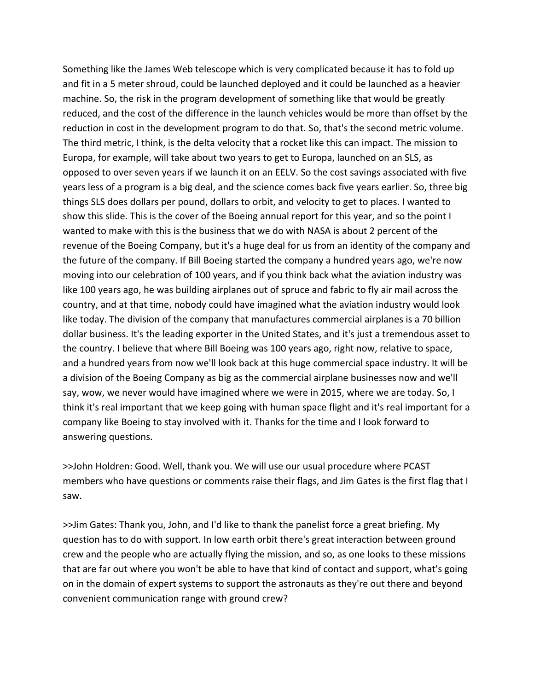Something like the James Web telescope which is very complicated because it has to fold up and fit in a 5 meter shroud, could be launched deployed and it could be launched as a heavier machine. So, the risk in the program development of something like that would be greatly reduced, and the cost of the difference in the launch vehicles would be more than offset by the reduction in cost in the development program to do that. So, that's the second metric volume. The third metric, I think, is the delta velocity that a rocket like this can impact. The mission to Europa, for example, will take about two years to get to Europa, launched on an SLS, as opposed to over seven years if we launch it on an EELV. So the cost savings associated with five years less of a program is a big deal, and the science comes back five years earlier. So, three big things SLS does dollars per pound, dollars to orbit, and velocity to get to places. I wanted to show this slide. This is the cover of the Boeing annual report for this year, and so the point I wanted to make with this is the business that we do with NASA is about 2 percent of the revenue of the Boeing Company, but it's a huge deal for us from an identity of the company and the future of the company. If Bill Boeing started the company a hundred years ago, we're now moving into our celebration of 100 years, and if you think back what the aviation industry was like 100 years ago, he was building airplanes out of spruce and fabric to fly air mail across the country, and at that time, nobody could have imagined what the aviation industry would look like today. The division of the company that manufactures commercial airplanes is a 70 billion dollar business. It's the leading exporter in the United States, and it's just a tremendous asset to the country. I believe that where Bill Boeing was 100 years ago, right now, relative to space, and a hundred years from now we'll look back at this huge commercial space industry. It will be a division of the Boeing Company as big as the commercial airplane businesses now and we'll say, wow, we never would have imagined where we were in 2015, where we are today. So, I think it's real important that we keep going with human space flight and it's real important for a company like Boeing to stay involved with it. Thanks for the time and I look forward to answering questions.

>>John Holdren: Good. Well, thank you. We will use our usual procedure where PCAST members who have questions or comments raise their flags, and Jim Gates is the first flag that I saw.

>>Jim Gates: Thank you, John, and I'd like to thank the panelist force a great briefing. My question has to do with support. In low earth orbit there's great interaction between ground crew and the people who are actually flying the mission, and so, as one looks to these missions that are far out where you won't be able to have that kind of contact and support, what's going on in the domain of expert systems to support the astronauts as they're out there and beyond convenient communication range with ground crew?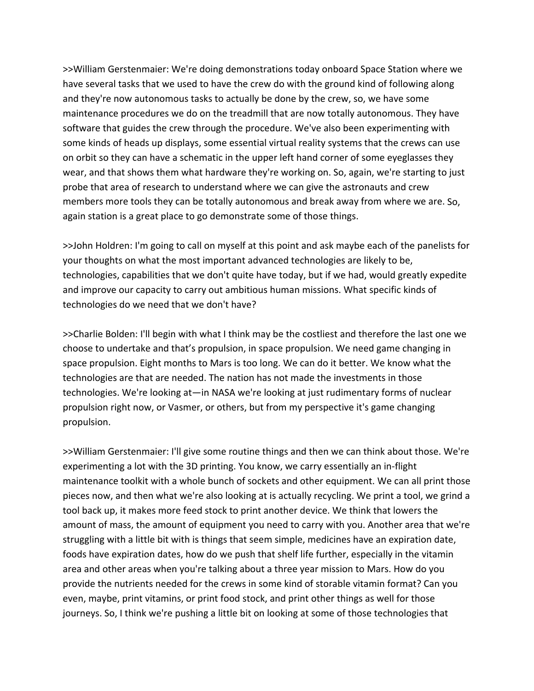>>William Gerstenmaier: We're doing demonstrations today onboard Space Station where we have several tasks that we used to have the crew do with the ground kind of following along and they're now autonomous tasks to actually be done by the crew, so, we have some maintenance procedures we do on the treadmill that are now totally autonomous. They have software that guides the crew through the procedure. We've also been experimenting with some kinds of heads up displays, some essential virtual reality systems that the crews can use on orbit so they can have a schematic in the upper left hand corner of some eyeglasses they wear, and that shows them what hardware they're working on. So, again, we're starting to just probe that area of research to understand where we can give the astronauts and crew members more tools they can be totally autonomous and break away from where we are. So, again station is a great place to go demonstrate some of those things.

>>John Holdren: I'm going to call on myself at this point and ask maybe each of the panelists for your thoughts on what the most important advanced technologies are likely to be, technologies, capabilities that we don't quite have today, but if we had, would greatly expedite and improve our capacity to carry out ambitious human missions. What specific kinds of technologies do we need that we don't have?

>>Charlie Bolden: I'll begin with what I think may be the costliest and therefore the last one we choose to undertake and that's propulsion, in space propulsion. We need game changing in space propulsion. Eight months to Mars is too long. We can do it better. We know what the technologies are that are needed. The nation has not made the investments in those technologies. We're looking at—in NASA we're looking at just rudimentary forms of nuclear propulsion right now, or Vasmer, or others, but from my perspective it's game changing propulsion.

>>William Gerstenmaier: I'll give some routine things and then we can think about those. We're experimenting a lot with the 3D printing. You know, we carry essentially an in‐flight maintenance toolkit with a whole bunch of sockets and other equipment. We can all print those pieces now, and then what we're also looking at is actually recycling. We print a tool, we grind a tool back up, it makes more feed stock to print another device. We think that lowers the amount of mass, the amount of equipment you need to carry with you. Another area that we're struggling with a little bit with is things that seem simple, medicines have an expiration date, foods have expiration dates, how do we push that shelf life further, especially in the vitamin area and other areas when you're talking about a three year mission to Mars. How do you provide the nutrients needed for the crews in some kind of storable vitamin format? Can you even, maybe, print vitamins, or print food stock, and print other things as well for those journeys. So, I think we're pushing a little bit on looking at some of those technologies that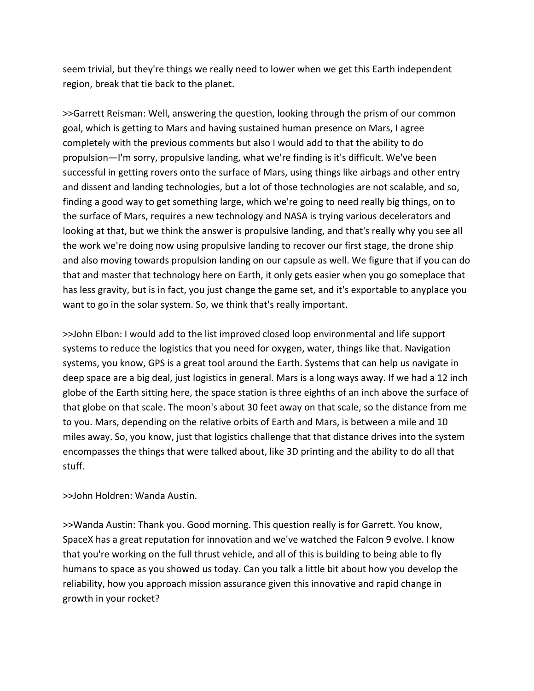seem trivial, but they're things we really need to lower when we get this Earth independent region, break that tie back to the planet.

>>Garrett Reisman: Well, answering the question, looking through the prism of our common goal, which is getting to Mars and having sustained human presence on Mars, I agree completely with the previous comments but also I would add to that the ability to do propulsion—I'm sorry, propulsive landing, what we're finding is it's difficult. We've been successful in getting rovers onto the surface of Mars, using things like airbags and other entry and dissent and landing technologies, but a lot of those technologies are not scalable, and so, finding a good way to get something large, which we're going to need really big things, on to the surface of Mars, requires a new technology and NASA is trying various decelerators and looking at that, but we think the answer is propulsive landing, and that's really why you see all the work we're doing now using propulsive landing to recover our first stage, the drone ship and also moving towards propulsion landing on our capsule as well. We figure that if you can do that and master that technology here on Earth, it only gets easier when you go someplace that has less gravity, but is in fact, you just change the game set, and it's exportable to anyplace you want to go in the solar system. So, we think that's really important.

>>John Elbon: I would add to the list improved closed loop environmental and life support systems to reduce the logistics that you need for oxygen, water, things like that. Navigation systems, you know, GPS is a great tool around the Earth. Systems that can help us navigate in deep space are a big deal, just logistics in general. Mars is a long ways away. If we had a 12 inch globe of the Earth sitting here, the space station is three eighths of an inch above the surface of that globe on that scale. The moon's about 30 feet away on that scale, so the distance from me to you. Mars, depending on the relative orbits of Earth and Mars, is between a mile and 10 miles away. So, you know, just that logistics challenge that that distance drives into the system encompasses the things that were talked about, like 3D printing and the ability to do all that stuff.

>>John Holdren: Wanda Austin.

>>Wanda Austin: Thank you. Good morning. This question really is for Garrett. You know, SpaceX has a great reputation for innovation and we've watched the Falcon 9 evolve. I know that you're working on the full thrust vehicle, and all of this is building to being able to fly humans to space as you showed us today. Can you talk a little bit about how you develop the reliability, how you approach mission assurance given this innovative and rapid change in growth in your rocket?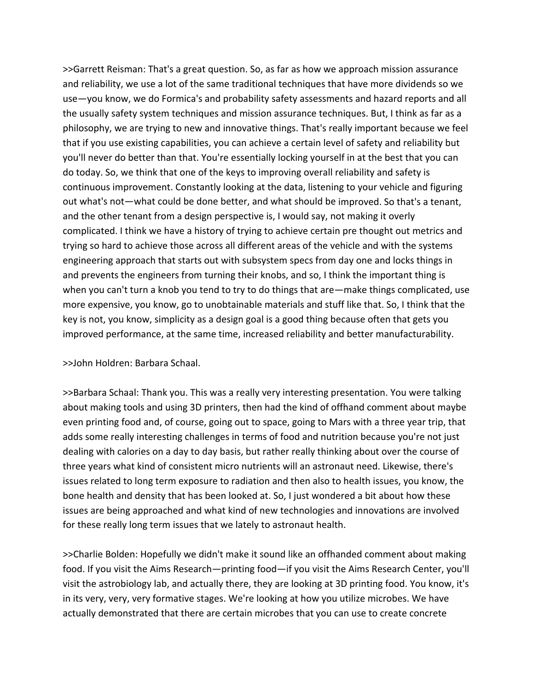>>Garrett Reisman: That's a great question. So, as far as how we approach mission assurance and reliability, we use a lot of the same traditional techniques that have more dividends so we use—you know, we do Formica's and probability safety assessments and hazard reports and all the usually safety system techniques and mission assurance techniques. But, I think as far as a philosophy, we are trying to new and innovative things. That's really important because we feel that if you use existing capabilities, you can achieve a certain level of safety and reliability but you'll never do better than that. You're essentially locking yourself in at the best that you can do today. So, we think that one of the keys to improving overall reliability and safety is continuous improvement. Constantly looking at the data, listening to your vehicle and figuring out what's not—what could be done better, and what should be improved. So that's a tenant, and the other tenant from a design perspective is, I would say, not making it overly complicated. I think we have a history of trying to achieve certain pre thought out metrics and trying so hard to achieve those across all different areas of the vehicle and with the systems engineering approach that starts out with subsystem specs from day one and locks things in and prevents the engineers from turning their knobs, and so, I think the important thing is when you can't turn a knob you tend to try to do things that are—make things complicated, use more expensive, you know, go to unobtainable materials and stuff like that. So, I think that the key is not, you know, simplicity as a design goal is a good thing because often that gets you improved performance, at the same time, increased reliability and better manufacturability.

## >>John Holdren: Barbara Schaal.

>>Barbara Schaal: Thank you. This was a really very interesting presentation. You were talking about making tools and using 3D printers, then had the kind of offhand comment about maybe even printing food and, of course, going out to space, going to Mars with a three year trip, that adds some really interesting challenges in terms of food and nutrition because you're not just dealing with calories on a day to day basis, but rather really thinking about over the course of three years what kind of consistent micro nutrients will an astronaut need. Likewise, there's issues related to long term exposure to radiation and then also to health issues, you know, the bone health and density that has been looked at. So, I just wondered a bit about how these issues are being approached and what kind of new technologies and innovations are involved for these really long term issues that we lately to astronaut health.

>>Charlie Bolden: Hopefully we didn't make it sound like an offhanded comment about making food. If you visit the Aims Research—printing food—if you visit the Aims Research Center, you'll visit the astrobiology lab, and actually there, they are looking at 3D printing food. You know, it's in its very, very, very formative stages. We're looking at how you utilize microbes. We have actually demonstrated that there are certain microbes that you can use to create concrete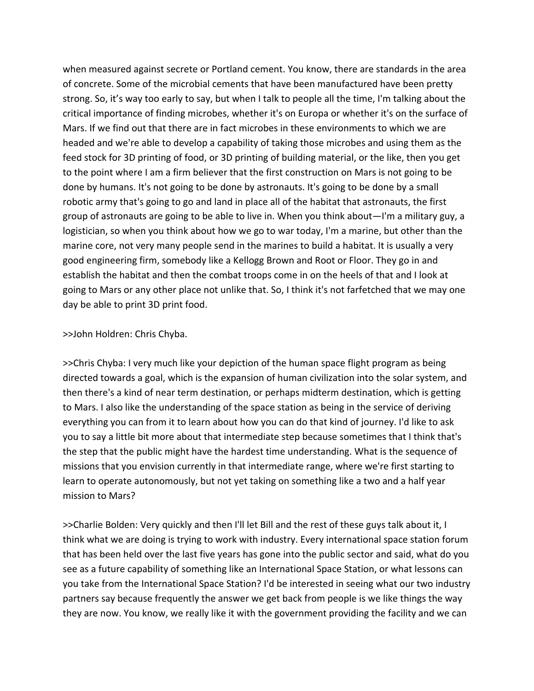when measured against secrete or Portland cement. You know, there are standards in the area of concrete. Some of the microbial cements that have been manufactured have been pretty strong. So, it's way too early to say, but when I talk to people all the time, I'm talking about the critical importance of finding microbes, whether it's on Europa or whether it's on the surface of Mars. If we find out that there are in fact microbes in these environments to which we are headed and we're able to develop a capability of taking those microbes and using them as the feed stock for 3D printing of food, or 3D printing of building material, or the like, then you get to the point where I am a firm believer that the first construction on Mars is not going to be done by humans. It's not going to be done by astronauts. It's going to be done by a small robotic army that's going to go and land in place all of the habitat that astronauts, the first group of astronauts are going to be able to live in. When you think about—I'm a military guy, a logistician, so when you think about how we go to war today, I'm a marine, but other than the marine core, not very many people send in the marines to build a habitat. It is usually a very good engineering firm, somebody like a Kellogg Brown and Root or Floor. They go in and establish the habitat and then the combat troops come in on the heels of that and I look at going to Mars or any other place not unlike that. So, I think it's not farfetched that we may one day be able to print 3D print food.

### >>John Holdren: Chris Chyba.

>>Chris Chyba: I very much like your depiction of the human space flight program as being directed towards a goal, which is the expansion of human civilization into the solar system, and then there's a kind of near term destination, or perhaps midterm destination, which is getting to Mars. I also like the understanding of the space station as being in the service of deriving everything you can from it to learn about how you can do that kind of journey. I'd like to ask you to say a little bit more about that intermediate step because sometimes that I think that's the step that the public might have the hardest time understanding. What is the sequence of missions that you envision currently in that intermediate range, where we're first starting to learn to operate autonomously, but not yet taking on something like a two and a half year mission to Mars?

>>Charlie Bolden: Very quickly and then I'll let Bill and the rest of these guys talk about it, I think what we are doing is trying to work with industry. Every international space station forum that has been held over the last five years has gone into the public sector and said, what do you see as a future capability of something like an International Space Station, or what lessons can you take from the International Space Station? I'd be interested in seeing what our two industry partners say because frequently the answer we get back from people is we like things the way they are now. You know, we really like it with the government providing the facility and we can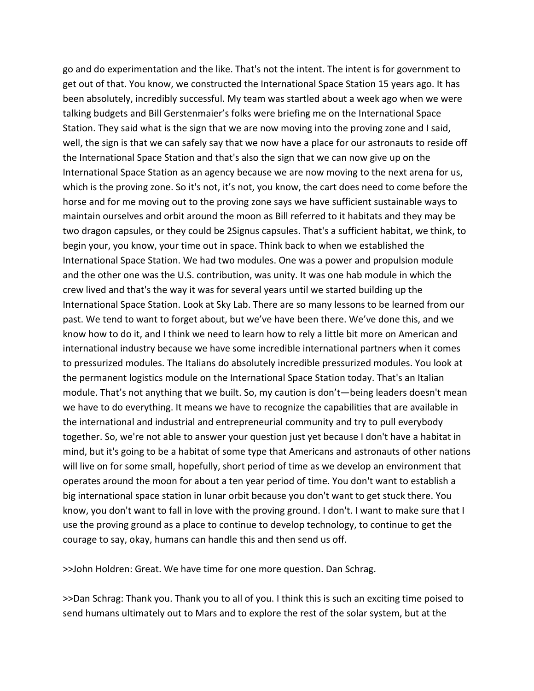go and do experimentation and the like. That's not the intent. The intent is for government to get out of that. You know, we constructed the International Space Station 15 years ago. It has been absolutely, incredibly successful. My team was startled about a week ago when we were talking budgets and Bill Gerstenmaier's folks were briefing me on the International Space Station. They said what is the sign that we are now moving into the proving zone and I said, well, the sign is that we can safely say that we now have a place for our astronauts to reside off the International Space Station and that's also the sign that we can now give up on the International Space Station as an agency because we are now moving to the next arena for us, which is the proving zone. So it's not, it's not, you know, the cart does need to come before the horse and for me moving out to the proving zone says we have sufficient sustainable ways to maintain ourselves and orbit around the moon as Bill referred to it habitats and they may be two dragon capsules, or they could be 2Signus capsules. That's a sufficient habitat, we think, to begin your, you know, your time out in space. Think back to when we established the International Space Station. We had two modules. One was a power and propulsion module and the other one was the U.S. contribution, was unity. It was one hab module in which the crew lived and that's the way it was for several years until we started building up the International Space Station. Look at Sky Lab. There are so many lessons to be learned from our past. We tend to want to forget about, but we've have been there. We've done this, and we know how to do it, and I think we need to learn how to rely a little bit more on American and international industry because we have some incredible international partners when it comes to pressurized modules. The Italians do absolutely incredible pressurized modules. You look at the permanent logistics module on the International Space Station today. That's an Italian module. That's not anything that we built. So, my caution is don't—being leaders doesn't mean we have to do everything. It means we have to recognize the capabilities that are available in the international and industrial and entrepreneurial community and try to pull everybody together. So, we're not able to answer your question just yet because I don't have a habitat in mind, but it's going to be a habitat of some type that Americans and astronauts of other nations will live on for some small, hopefully, short period of time as we develop an environment that operates around the moon for about a ten year period of time. You don't want to establish a big international space station in lunar orbit because you don't want to get stuck there. You know, you don't want to fall in love with the proving ground. I don't. I want to make sure that I use the proving ground as a place to continue to develop technology, to continue to get the courage to say, okay, humans can handle this and then send us off.

>>John Holdren: Great. We have time for one more question. Dan Schrag.

>>Dan Schrag: Thank you. Thank you to all of you. I think this is such an exciting time poised to send humans ultimately out to Mars and to explore the rest of the solar system, but at the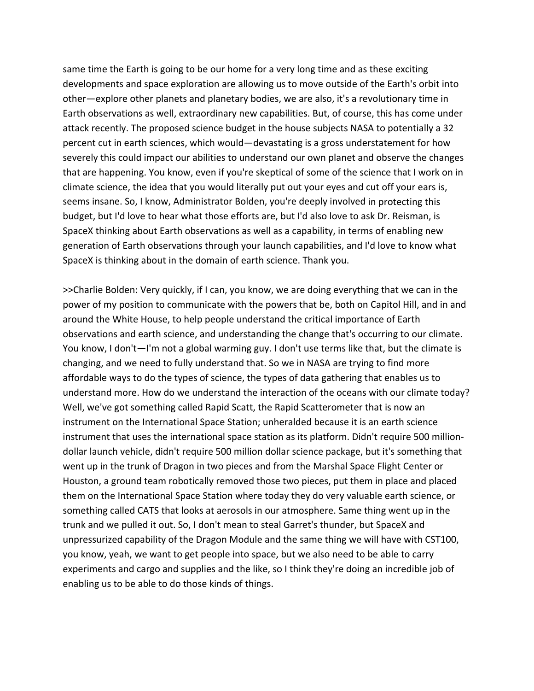same time the Earth is going to be our home for a very long time and as these exciting developments and space exploration are allowing us to move outside of the Earth's orbit into other—explore other planets and planetary bodies, we are also, it's a revolutionary time in Earth observations as well, extraordinary new capabilities. But, of course, this has come under attack recently. The proposed science budget in the house subjects NASA to potentially a 32 percent cut in earth sciences, which would—devastating is a gross understatement for how severely this could impact our abilities to understand our own planet and observe the changes that are happening. You know, even if you're skeptical of some of the science that I work on in climate science, the idea that you would literally put out your eyes and cut off your ears is, seems insane. So, I know, Administrator Bolden, you're deeply involved in protecting this budget, but I'd love to hear what those efforts are, but I'd also love to ask Dr. Reisman, is SpaceX thinking about Earth observations as well as a capability, in terms of enabling new generation of Earth observations through your launch capabilities, and I'd love to know what SpaceX is thinking about in the domain of earth science. Thank you.

>>Charlie Bolden: Very quickly, if I can, you know, we are doing everything that we can in the power of my position to communicate with the powers that be, both on Capitol Hill, and in and around the White House, to help people understand the critical importance of Earth observations and earth science, and understanding the change that's occurring to our climate. You know, I don't—I'm not a global warming guy. I don't use terms like that, but the climate is changing, and we need to fully understand that. So we in NASA are trying to find more affordable ways to do the types of science, the types of data gathering that enables us to understand more. How do we understand the interaction of the oceans with our climate today? Well, we've got something called Rapid Scatt, the Rapid Scatterometer that is now an instrument on the International Space Station; unheralded because it is an earth science instrument that uses the international space station as its platform. Didn't require 500 million‐ dollar launch vehicle, didn't require 500 million dollar science package, but it's something that went up in the trunk of Dragon in two pieces and from the Marshal Space Flight Center or Houston, a ground team robotically removed those two pieces, put them in place and placed them on the International Space Station where today they do very valuable earth science, or something called CATS that looks at aerosols in our atmosphere. Same thing went up in the trunk and we pulled it out. So, I don't mean to steal Garret's thunder, but SpaceX and unpressurized capability of the Dragon Module and the same thing we will have with CST100, you know, yeah, we want to get people into space, but we also need to be able to carry experiments and cargo and supplies and the like, so I think they're doing an incredible job of enabling us to be able to do those kinds of things.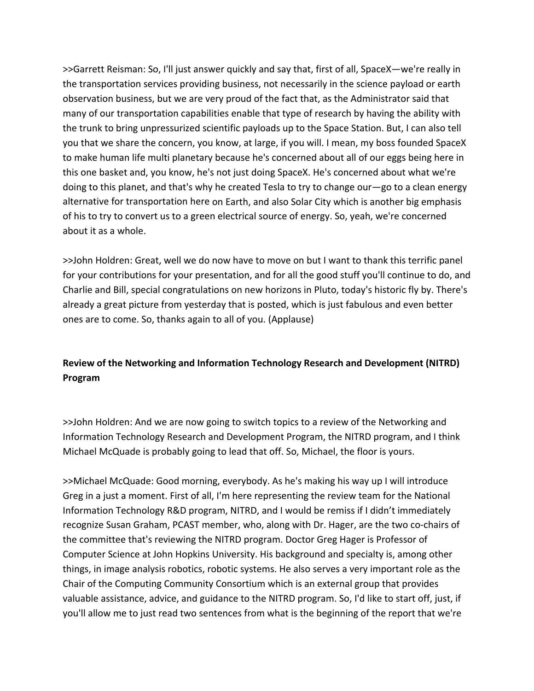>>Garrett Reisman: So, I'll just answer quickly and say that, first of all, SpaceX—we're really in the transportation services providing business, not necessarily in the science payload or earth observation business, but we are very proud of the fact that, as the Administrator said that many of our transportation capabilities enable that type of research by having the ability with the trunk to bring unpressurized scientific payloads up to the Space Station. But, I can also tell you that we share the concern, you know, at large, if you will. I mean, my boss founded SpaceX to make human life multi planetary because he's concerned about all of our eggs being here in this one basket and, you know, he's not just doing SpaceX. He's concerned about what we're doing to this planet, and that's why he created Tesla to try to change our—go to a clean energy alternative for transportation here on Earth, and also Solar City which is another big emphasis of his to try to convert us to a green electrical source of energy. So, yeah, we're concerned about it as a whole.

>>John Holdren: Great, well we do now have to move on but I want to thank this terrific panel for your contributions for your presentation, and for all the good stuff you'll continue to do, and Charlie and Bill, special congratulations on new horizons in Pluto, today's historic fly by. There's already a great picture from yesterday that is posted, which is just fabulous and even better ones are to come. So, thanks again to all of you. (Applause)

# **Review of the Networking and Information Technology Research and Development (NITRD) Program**

>>John Holdren: And we are now going to switch topics to a review of the Networking and Information Technology Research and Development Program, the NITRD program, and I think Michael McQuade is probably going to lead that off. So, Michael, the floor is yours.

>>Michael McQuade: Good morning, everybody. As he's making his way up I will introduce Greg in a just a moment. First of all, I'm here representing the review team for the National Information Technology R&D program, NITRD, and I would be remiss if I didn't immediately recognize Susan Graham, PCAST member, who, along with Dr. Hager, are the two co-chairs of the committee that's reviewing the NITRD program. Doctor Greg Hager is Professor of Computer Science at John Hopkins University. His background and specialty is, among other things, in image analysis robotics, robotic systems. He also serves a very important role as the Chair of the Computing Community Consortium which is an external group that provides valuable assistance, advice, and guidance to the NITRD program. So, I'd like to start off, just, if you'll allow me to just read two sentences from what is the beginning of the report that we're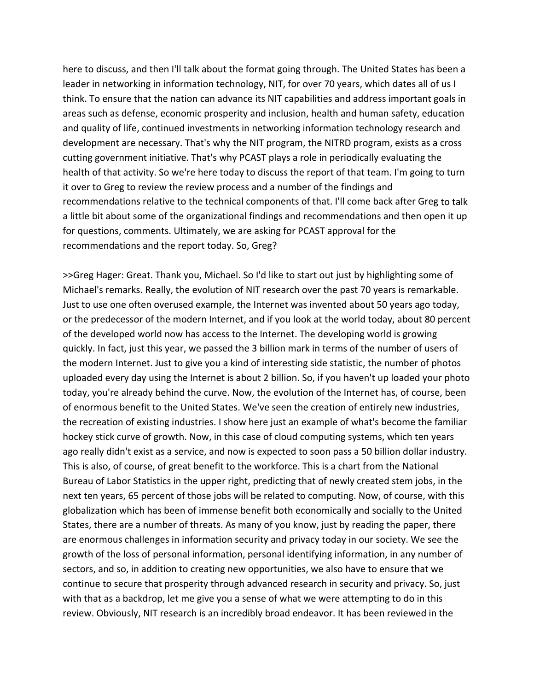here to discuss, and then I'll talk about the format going through. The United States has been a leader in networking in information technology, NIT, for over 70 years, which dates all of us I think. To ensure that the nation can advance its NIT capabilities and address important goals in areas such as defense, economic prosperity and inclusion, health and human safety, education and quality of life, continued investments in networking information technology research and development are necessary. That's why the NIT program, the NITRD program, exists as a cross cutting government initiative. That's why PCAST plays a role in periodically evaluating the health of that activity. So we're here today to discuss the report of that team. I'm going to turn it over to Greg to review the review process and a number of the findings and recommendations relative to the technical components of that. I'll come back after Greg to talk a little bit about some of the organizational findings and recommendations and then open it up for questions, comments. Ultimately, we are asking for PCAST approval for the recommendations and the report today. So, Greg?

>>Greg Hager: Great. Thank you, Michael. So I'd like to start out just by highlighting some of Michael's remarks. Really, the evolution of NIT research over the past 70 years is remarkable. Just to use one often overused example, the Internet was invented about 50 years ago today, or the predecessor of the modern Internet, and if you look at the world today, about 80 percent of the developed world now has access to the Internet. The developing world is growing quickly. In fact, just this year, we passed the 3 billion mark in terms of the number of users of the modern Internet. Just to give you a kind of interesting side statistic, the number of photos uploaded every day using the Internet is about 2 billion. So, if you haven't up loaded your photo today, you're already behind the curve. Now, the evolution of the Internet has, of course, been of enormous benefit to the United States. We've seen the creation of entirely new industries, the recreation of existing industries. I show here just an example of what's become the familiar hockey stick curve of growth. Now, in this case of cloud computing systems, which ten years ago really didn't exist as a service, and now is expected to soon pass a 50 billion dollar industry. This is also, of course, of great benefit to the workforce. This is a chart from the National Bureau of Labor Statistics in the upper right, predicting that of newly created stem jobs, in the next ten years, 65 percent of those jobs will be related to computing. Now, of course, with this globalization which has been of immense benefit both economically and socially to the United States, there are a number of threats. As many of you know, just by reading the paper, there are enormous challenges in information security and privacy today in our society. We see the growth of the loss of personal information, personal identifying information, in any number of sectors, and so, in addition to creating new opportunities, we also have to ensure that we continue to secure that prosperity through advanced research in security and privacy. So, just with that as a backdrop, let me give you a sense of what we were attempting to do in this review. Obviously, NIT research is an incredibly broad endeavor. It has been reviewed in the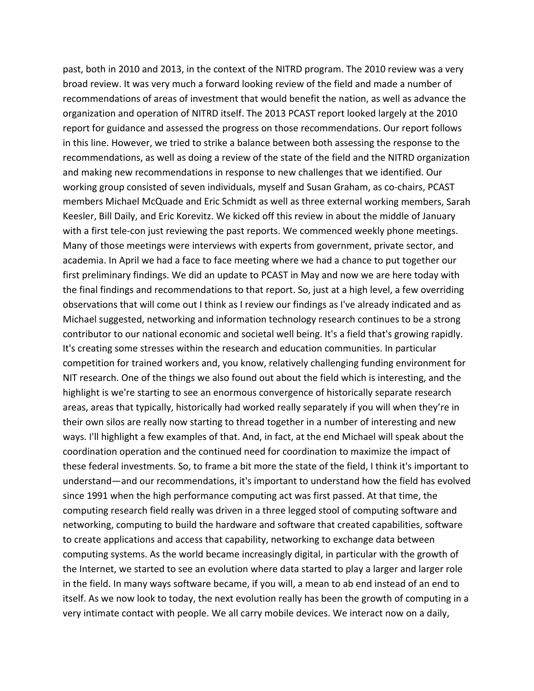past, both in 2010 and 2013, in the context of the NITRD program. The 2010 review was a very broad review. It was very much a forward looking review of the field and made a number of recommendations of areas of investment that would benefit the nation, as well as advance the organization and operation of NITRD itself. The 2013 PCAST report looked largely at the 2010 report for guidance and assessed the progress on those recommendations. Our report follows in this line. However, we tried to strike a balance between both assessing the response to the recommendations, as well as doing a review of the state of the field and the NITRD organization and making new recommendations in response to new challenges that we identified. Our working group consisted of seven individuals, myself and Susan Graham, as co-chairs, PCAST members Michael McQuade and Eric Schmidt as well as three external working members, Sarah Keesler, Bill Daily, and Eric Korevitz. We kicked off this review in about the middle of January with a first tele-con just reviewing the past reports. We commenced weekly phone meetings. Many of those meetings were interviews with experts from government, private sector, and academia. In April we had a face to face meeting where we had a chance to put together our first preliminary findings. We did an update to PCAST in May and now we are here today with the final findings and recommendations to that report. So, just at a high level, a few overriding observations that will come out I think as I review our findings as I've already indicated and as Michael suggested, networking and information technology research continues to be a strong contributor to our national economic and societal well being. It's a field that's growing rapidly. It's creating some stresses within the research and education communities. In particular competition for trained workers and, you know, relatively challenging funding environment for NIT research. One of the things we also found out about the field which is interesting, and the highlight is we're starting to see an enormous convergence of historically separate research areas, areas that typically, historically had worked really separately if you will when they're in their own silos are really now starting to thread together in a number of interesting and new ways. I'll highlight a few examples of that. And, in fact, at the end Michael will speak about the coordination operation and the continued need for coordination to maximize the impact of these federal investments. So, to frame a bit more the state of the field, I think it's important to understand—and our recommendations, it's important to understand how the field has evolved since 1991 when the high performance computing act was first passed. At that time, the computing research field really was driven in a three legged stool of computing software and networking, computing to build the hardware and software that created capabilities, software to create applications and access that capability, networking to exchange data between computing systems. As the world became increasingly digital, in particular with the growth of the Internet, we started to see an evolution where data started to play a larger and larger role in the field. In many ways software became, if you will, a mean to ab end instead of an end to itself. As we now look to today, the next evolution really has been the growth of computing in a very intimate contact with people. We all carry mobile devices. We interact now on a daily,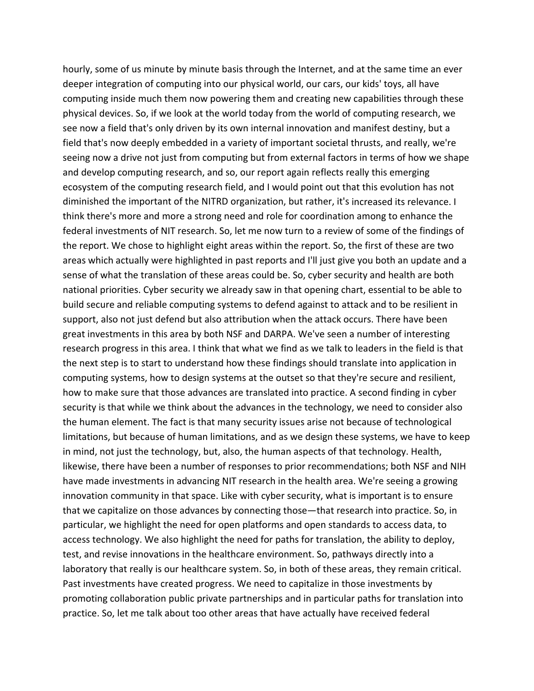hourly, some of us minute by minute basis through the Internet, and at the same time an ever deeper integration of computing into our physical world, our cars, our kids' toys, all have computing inside much them now powering them and creating new capabilities through these physical devices. So, if we look at the world today from the world of computing research, we see now a field that's only driven by its own internal innovation and manifest destiny, but a field that's now deeply embedded in a variety of important societal thrusts, and really, we're seeing now a drive not just from computing but from external factors in terms of how we shape and develop computing research, and so, our report again reflects really this emerging ecosystem of the computing research field, and I would point out that this evolution has not diminished the important of the NITRD organization, but rather, it's increased its relevance. I think there's more and more a strong need and role for coordination among to enhance the federal investments of NIT research. So, let me now turn to a review of some of the findings of the report. We chose to highlight eight areas within the report. So, the first of these are two areas which actually were highlighted in past reports and I'll just give you both an update and a sense of what the translation of these areas could be. So, cyber security and health are both national priorities. Cyber security we already saw in that opening chart, essential to be able to build secure and reliable computing systems to defend against to attack and to be resilient in support, also not just defend but also attribution when the attack occurs. There have been great investments in this area by both NSF and DARPA. We've seen a number of interesting research progress in this area. I think that what we find as we talk to leaders in the field is that the next step is to start to understand how these findings should translate into application in computing systems, how to design systems at the outset so that they're secure and resilient, how to make sure that those advances are translated into practice. A second finding in cyber security is that while we think about the advances in the technology, we need to consider also the human element. The fact is that many security issues arise not because of technological limitations, but because of human limitations, and as we design these systems, we have to keep in mind, not just the technology, but, also, the human aspects of that technology. Health, likewise, there have been a number of responses to prior recommendations; both NSF and NIH have made investments in advancing NIT research in the health area. We're seeing a growing innovation community in that space. Like with cyber security, what is important is to ensure that we capitalize on those advances by connecting those—that research into practice. So, in particular, we highlight the need for open platforms and open standards to access data, to access technology. We also highlight the need for paths for translation, the ability to deploy, test, and revise innovations in the healthcare environment. So, pathways directly into a laboratory that really is our healthcare system. So, in both of these areas, they remain critical. Past investments have created progress. We need to capitalize in those investments by promoting collaboration public private partnerships and in particular paths for translation into practice. So, let me talk about too other areas that have actually have received federal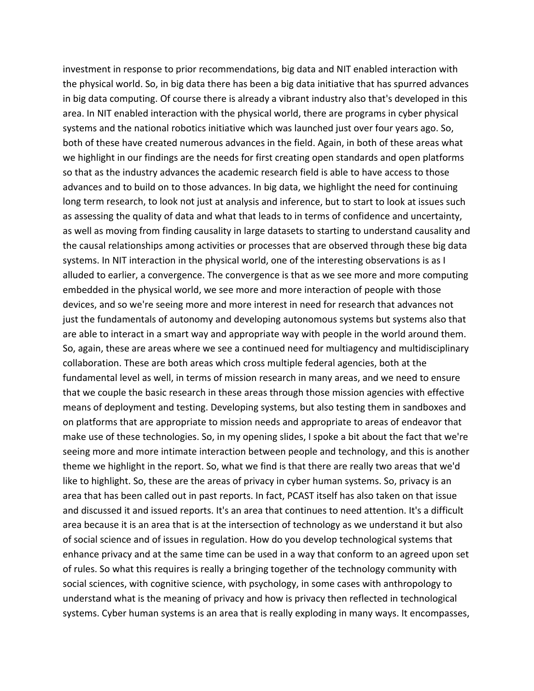investment in response to prior recommendations, big data and NIT enabled interaction with the physical world. So, in big data there has been a big data initiative that has spurred advances in big data computing. Of course there is already a vibrant industry also that's developed in this area. In NIT enabled interaction with the physical world, there are programs in cyber physical systems and the national robotics initiative which was launched just over four years ago. So, both of these have created numerous advances in the field. Again, in both of these areas what we highlight in our findings are the needs for first creating open standards and open platforms so that as the industry advances the academic research field is able to have access to those advances and to build on to those advances. In big data, we highlight the need for continuing long term research, to look not just at analysis and inference, but to start to look at issues such as assessing the quality of data and what that leads to in terms of confidence and uncertainty, as well as moving from finding causality in large datasets to starting to understand causality and the causal relationships among activities or processes that are observed through these big data systems. In NIT interaction in the physical world, one of the interesting observations is as I alluded to earlier, a convergence. The convergence is that as we see more and more computing embedded in the physical world, we see more and more interaction of people with those devices, and so we're seeing more and more interest in need for research that advances not just the fundamentals of autonomy and developing autonomous systems but systems also that are able to interact in a smart way and appropriate way with people in the world around them. So, again, these are areas where we see a continued need for multiagency and multidisciplinary collaboration. These are both areas which cross multiple federal agencies, both at the fundamental level as well, in terms of mission research in many areas, and we need to ensure that we couple the basic research in these areas through those mission agencies with effective means of deployment and testing. Developing systems, but also testing them in sandboxes and on platforms that are appropriate to mission needs and appropriate to areas of endeavor that make use of these technologies. So, in my opening slides, I spoke a bit about the fact that we're seeing more and more intimate interaction between people and technology, and this is another theme we highlight in the report. So, what we find is that there are really two areas that we'd like to highlight. So, these are the areas of privacy in cyber human systems. So, privacy is an area that has been called out in past reports. In fact, PCAST itself has also taken on that issue and discussed it and issued reports. It's an area that continues to need attention. It's a difficult area because it is an area that is at the intersection of technology as we understand it but also of social science and of issues in regulation. How do you develop technological systems that enhance privacy and at the same time can be used in a way that conform to an agreed upon set of rules. So what this requires is really a bringing together of the technology community with social sciences, with cognitive science, with psychology, in some cases with anthropology to understand what is the meaning of privacy and how is privacy then reflected in technological systems. Cyber human systems is an area that is really exploding in many ways. It encompasses,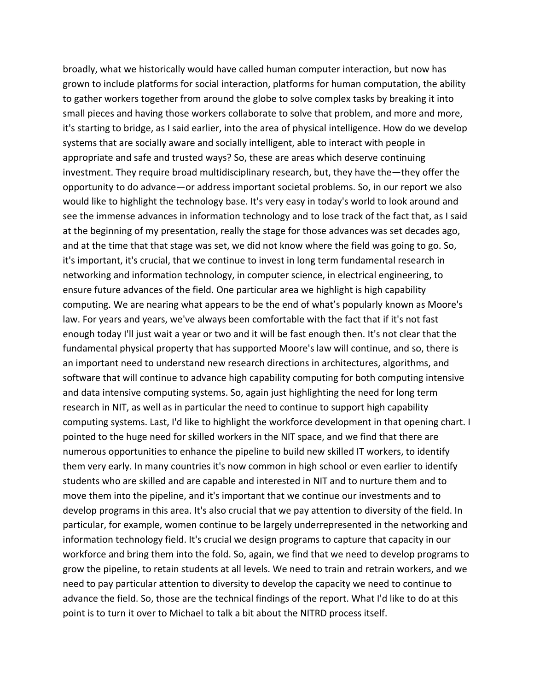broadly, what we historically would have called human computer interaction, but now has grown to include platforms for social interaction, platforms for human computation, the ability to gather workers together from around the globe to solve complex tasks by breaking it into small pieces and having those workers collaborate to solve that problem, and more and more, it's starting to bridge, as I said earlier, into the area of physical intelligence. How do we develop systems that are socially aware and socially intelligent, able to interact with people in appropriate and safe and trusted ways? So, these are areas which deserve continuing investment. They require broad multidisciplinary research, but, they have the—they offer the opportunity to do advance—or address important societal problems. So, in our report we also would like to highlight the technology base. It's very easy in today's world to look around and see the immense advances in information technology and to lose track of the fact that, as I said at the beginning of my presentation, really the stage for those advances was set decades ago, and at the time that that stage was set, we did not know where the field was going to go. So, it's important, it's crucial, that we continue to invest in long term fundamental research in networking and information technology, in computer science, in electrical engineering, to ensure future advances of the field. One particular area we highlight is high capability computing. We are nearing what appears to be the end of what's popularly known as Moore's law. For years and years, we've always been comfortable with the fact that if it's not fast enough today I'll just wait a year or two and it will be fast enough then. It's not clear that the fundamental physical property that has supported Moore's law will continue, and so, there is an important need to understand new research directions in architectures, algorithms, and software that will continue to advance high capability computing for both computing intensive and data intensive computing systems. So, again just highlighting the need for long term research in NIT, as well as in particular the need to continue to support high capability computing systems. Last, I'd like to highlight the workforce development in that opening chart. I pointed to the huge need for skilled workers in the NIT space, and we find that there are numerous opportunities to enhance the pipeline to build new skilled IT workers, to identify them very early. In many countries it's now common in high school or even earlier to identify students who are skilled and are capable and interested in NIT and to nurture them and to move them into the pipeline, and it's important that we continue our investments and to develop programs in this area. It's also crucial that we pay attention to diversity of the field. In particular, for example, women continue to be largely underrepresented in the networking and information technology field. It's crucial we design programs to capture that capacity in our workforce and bring them into the fold. So, again, we find that we need to develop programs to grow the pipeline, to retain students at all levels. We need to train and retrain workers, and we need to pay particular attention to diversity to develop the capacity we need to continue to advance the field. So, those are the technical findings of the report. What I'd like to do at this point is to turn it over to Michael to talk a bit about the NITRD process itself.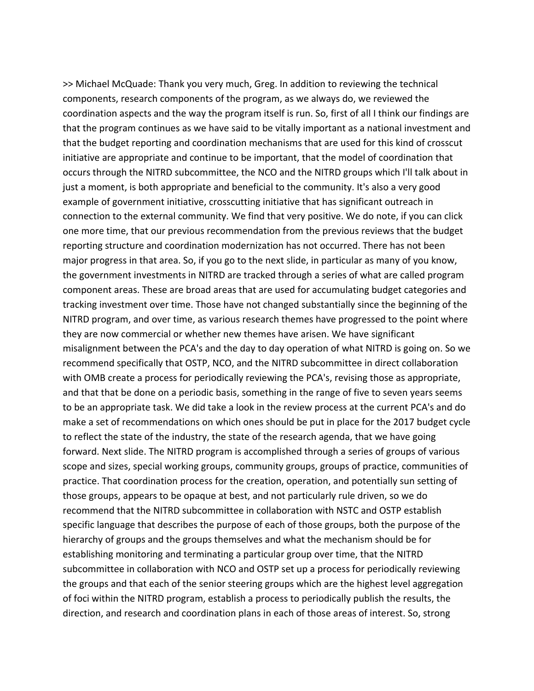>> Michael McQuade: Thank you very much, Greg. In addition to reviewing the technical components, research components of the program, as we always do, we reviewed the coordination aspects and the way the program itself is run. So, first of all I think our findings are that the program continues as we have said to be vitally important as a national investment and that the budget reporting and coordination mechanisms that are used for this kind of crosscut initiative are appropriate and continue to be important, that the model of coordination that occurs through the NITRD subcommittee, the NCO and the NITRD groups which I'll talk about in just a moment, is both appropriate and beneficial to the community. It's also a very good example of government initiative, crosscutting initiative that has significant outreach in connection to the external community. We find that very positive. We do note, if you can click one more time, that our previous recommendation from the previous reviews that the budget reporting structure and coordination modernization has not occurred. There has not been major progress in that area. So, if you go to the next slide, in particular as many of you know, the government investments in NITRD are tracked through a series of what are called program component areas. These are broad areas that are used for accumulating budget categories and tracking investment over time. Those have not changed substantially since the beginning of the NITRD program, and over time, as various research themes have progressed to the point where they are now commercial or whether new themes have arisen. We have significant misalignment between the PCA's and the day to day operation of what NITRD is going on. So we recommend specifically that OSTP, NCO, and the NITRD subcommittee in direct collaboration with OMB create a process for periodically reviewing the PCA's, revising those as appropriate, and that that be done on a periodic basis, something in the range of five to seven years seems to be an appropriate task. We did take a look in the review process at the current PCA's and do make a set of recommendations on which ones should be put in place for the 2017 budget cycle to reflect the state of the industry, the state of the research agenda, that we have going forward. Next slide. The NITRD program is accomplished through a series of groups of various scope and sizes, special working groups, community groups, groups of practice, communities of practice. That coordination process for the creation, operation, and potentially sun setting of those groups, appears to be opaque at best, and not particularly rule driven, so we do recommend that the NITRD subcommittee in collaboration with NSTC and OSTP establish specific language that describes the purpose of each of those groups, both the purpose of the hierarchy of groups and the groups themselves and what the mechanism should be for establishing monitoring and terminating a particular group over time, that the NITRD subcommittee in collaboration with NCO and OSTP set up a process for periodically reviewing the groups and that each of the senior steering groups which are the highest level aggregation of foci within the NITRD program, establish a process to periodically publish the results, the direction, and research and coordination plans in each of those areas of interest. So, strong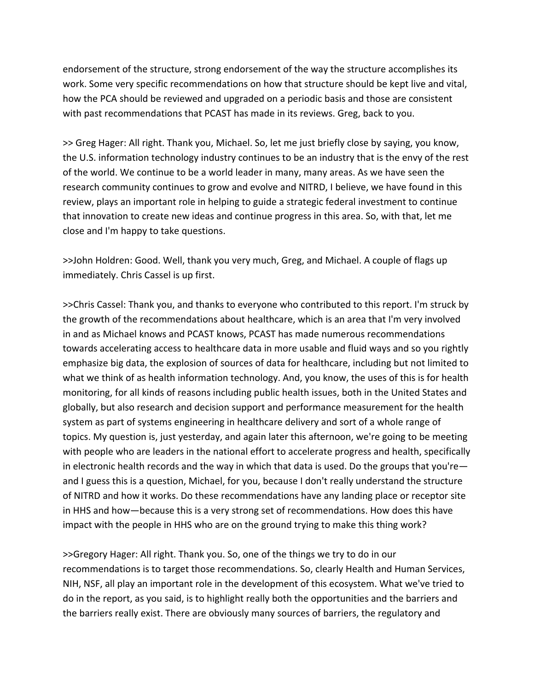endorsement of the structure, strong endorsement of the way the structure accomplishes its work. Some very specific recommendations on how that structure should be kept live and vital, how the PCA should be reviewed and upgraded on a periodic basis and those are consistent with past recommendations that PCAST has made in its reviews. Greg, back to you.

>> Greg Hager: All right. Thank you, Michael. So, let me just briefly close by saying, you know, the U.S. information technology industry continues to be an industry that is the envy of the rest of the world. We continue to be a world leader in many, many areas. As we have seen the research community continues to grow and evolve and NITRD, I believe, we have found in this review, plays an important role in helping to guide a strategic federal investment to continue that innovation to create new ideas and continue progress in this area. So, with that, let me close and I'm happy to take questions.

>>John Holdren: Good. Well, thank you very much, Greg, and Michael. A couple of flags up immediately. Chris Cassel is up first.

>>Chris Cassel: Thank you, and thanks to everyone who contributed to this report. I'm struck by the growth of the recommendations about healthcare, which is an area that I'm very involved in and as Michael knows and PCAST knows, PCAST has made numerous recommendations towards accelerating access to healthcare data in more usable and fluid ways and so you rightly emphasize big data, the explosion of sources of data for healthcare, including but not limited to what we think of as health information technology. And, you know, the uses of this is for health monitoring, for all kinds of reasons including public health issues, both in the United States and globally, but also research and decision support and performance measurement for the health system as part of systems engineering in healthcare delivery and sort of a whole range of topics. My question is, just yesterday, and again later this afternoon, we're going to be meeting with people who are leaders in the national effort to accelerate progress and health, specifically in electronic health records and the way in which that data is used. Do the groups that you're and I guess this is a question, Michael, for you, because I don't really understand the structure of NITRD and how it works. Do these recommendations have any landing place or receptor site in HHS and how—because this is a very strong set of recommendations. How does this have impact with the people in HHS who are on the ground trying to make this thing work?

>>Gregory Hager: All right. Thank you. So, one of the things we try to do in our recommendations is to target those recommendations. So, clearly Health and Human Services, NIH, NSF, all play an important role in the development of this ecosystem. What we've tried to do in the report, as you said, is to highlight really both the opportunities and the barriers and the barriers really exist. There are obviously many sources of barriers, the regulatory and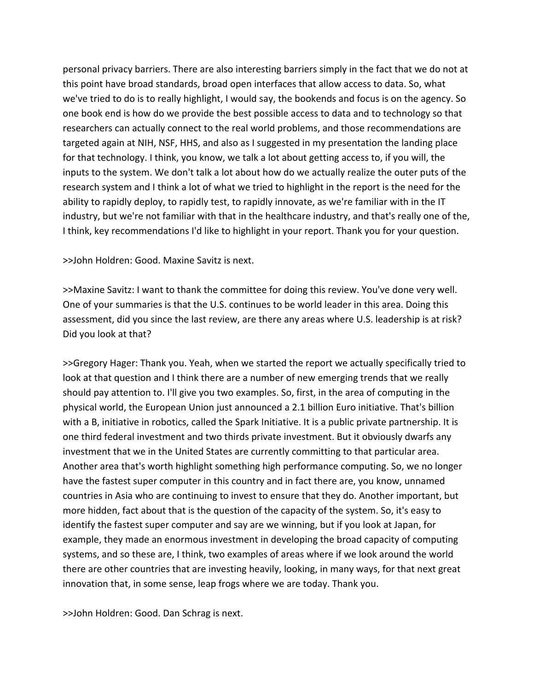personal privacy barriers. There are also interesting barriers simply in the fact that we do not at this point have broad standards, broad open interfaces that allow access to data. So, what we've tried to do is to really highlight, I would say, the bookends and focus is on the agency. So one book end is how do we provide the best possible access to data and to technology so that researchers can actually connect to the real world problems, and those recommendations are targeted again at NIH, NSF, HHS, and also as I suggested in my presentation the landing place for that technology. I think, you know, we talk a lot about getting access to, if you will, the inputs to the system. We don't talk a lot about how do we actually realize the outer puts of the research system and I think a lot of what we tried to highlight in the report is the need for the ability to rapidly deploy, to rapidly test, to rapidly innovate, as we're familiar with in the IT industry, but we're not familiar with that in the healthcare industry, and that's really one of the, I think, key recommendations I'd like to highlight in your report. Thank you for your question.

>>John Holdren: Good. Maxine Savitz is next.

>>Maxine Savitz: I want to thank the committee for doing this review. You've done very well. One of your summaries is that the U.S. continues to be world leader in this area. Doing this assessment, did you since the last review, are there any areas where U.S. leadership is at risk? Did you look at that?

>>Gregory Hager: Thank you. Yeah, when we started the report we actually specifically tried to look at that question and I think there are a number of new emerging trends that we really should pay attention to. I'll give you two examples. So, first, in the area of computing in the physical world, the European Union just announced a 2.1 billion Euro initiative. That's billion with a B, initiative in robotics, called the Spark Initiative. It is a public private partnership. It is one third federal investment and two thirds private investment. But it obviously dwarfs any investment that we in the United States are currently committing to that particular area. Another area that's worth highlight something high performance computing. So, we no longer have the fastest super computer in this country and in fact there are, you know, unnamed countries in Asia who are continuing to invest to ensure that they do. Another important, but more hidden, fact about that is the question of the capacity of the system. So, it's easy to identify the fastest super computer and say are we winning, but if you look at Japan, for example, they made an enormous investment in developing the broad capacity of computing systems, and so these are, I think, two examples of areas where if we look around the world there are other countries that are investing heavily, looking, in many ways, for that next great innovation that, in some sense, leap frogs where we are today. Thank you.

>>John Holdren: Good. Dan Schrag is next.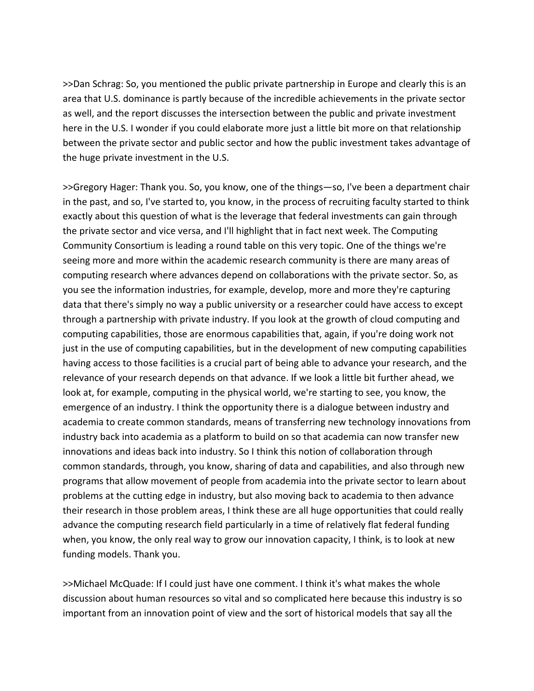>>Dan Schrag: So, you mentioned the public private partnership in Europe and clearly this is an area that U.S. dominance is partly because of the incredible achievements in the private sector as well, and the report discusses the intersection between the public and private investment here in the U.S. I wonder if you could elaborate more just a little bit more on that relationship between the private sector and public sector and how the public investment takes advantage of the huge private investment in the U.S.

>>Gregory Hager: Thank you. So, you know, one of the things—so, I've been a department chair in the past, and so, I've started to, you know, in the process of recruiting faculty started to think exactly about this question of what is the leverage that federal investments can gain through the private sector and vice versa, and I'll highlight that in fact next week. The Computing Community Consortium is leading a round table on this very topic. One of the things we're seeing more and more within the academic research community is there are many areas of computing research where advances depend on collaborations with the private sector. So, as you see the information industries, for example, develop, more and more they're capturing data that there's simply no way a public university or a researcher could have access to except through a partnership with private industry. If you look at the growth of cloud computing and computing capabilities, those are enormous capabilities that, again, if you're doing work not just in the use of computing capabilities, but in the development of new computing capabilities having access to those facilities is a crucial part of being able to advance your research, and the relevance of your research depends on that advance. If we look a little bit further ahead, we look at, for example, computing in the physical world, we're starting to see, you know, the emergence of an industry. I think the opportunity there is a dialogue between industry and academia to create common standards, means of transferring new technology innovations from industry back into academia as a platform to build on so that academia can now transfer new innovations and ideas back into industry. So I think this notion of collaboration through common standards, through, you know, sharing of data and capabilities, and also through new programs that allow movement of people from academia into the private sector to learn about problems at the cutting edge in industry, but also moving back to academia to then advance their research in those problem areas, I think these are all huge opportunities that could really advance the computing research field particularly in a time of relatively flat federal funding when, you know, the only real way to grow our innovation capacity, I think, is to look at new funding models. Thank you.

>>Michael McQuade: If I could just have one comment. I think it's what makes the whole discussion about human resources so vital and so complicated here because this industry is so important from an innovation point of view and the sort of historical models that say all the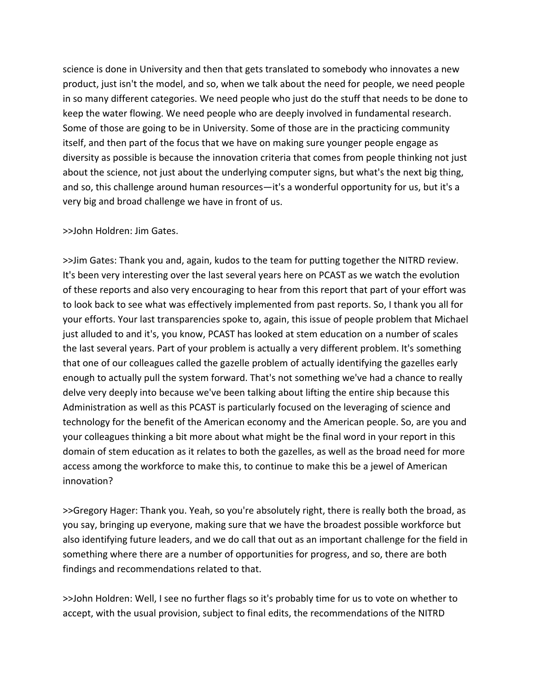science is done in University and then that gets translated to somebody who innovates a new product, just isn't the model, and so, when we talk about the need for people, we need people in so many different categories. We need people who just do the stuff that needs to be done to keep the water flowing. We need people who are deeply involved in fundamental research. Some of those are going to be in University. Some of those are in the practicing community itself, and then part of the focus that we have on making sure younger people engage as diversity as possible is because the innovation criteria that comes from people thinking not just about the science, not just about the underlying computer signs, but what's the next big thing, and so, this challenge around human resources—it's a wonderful opportunity for us, but it's a very big and broad challenge we have in front of us.

## >>John Holdren: Jim Gates.

>>Jim Gates: Thank you and, again, kudos to the team for putting together the NITRD review. It's been very interesting over the last several years here on PCAST as we watch the evolution of these reports and also very encouraging to hear from this report that part of your effort was to look back to see what was effectively implemented from past reports. So, I thank you all for your efforts. Your last transparencies spoke to, again, this issue of people problem that Michael just alluded to and it's, you know, PCAST has looked at stem education on a number of scales the last several years. Part of your problem is actually a very different problem. It's something that one of our colleagues called the gazelle problem of actually identifying the gazelles early enough to actually pull the system forward. That's not something we've had a chance to really delve very deeply into because we've been talking about lifting the entire ship because this Administration as well as this PCAST is particularly focused on the leveraging of science and technology for the benefit of the American economy and the American people. So, are you and your colleagues thinking a bit more about what might be the final word in your report in this domain of stem education as it relates to both the gazelles, as well as the broad need for more access among the workforce to make this, to continue to make this be a jewel of American innovation?

>>Gregory Hager: Thank you. Yeah, so you're absolutely right, there is really both the broad, as you say, bringing up everyone, making sure that we have the broadest possible workforce but also identifying future leaders, and we do call that out as an important challenge for the field in something where there are a number of opportunities for progress, and so, there are both findings and recommendations related to that.

>>John Holdren: Well, I see no further flags so it's probably time for us to vote on whether to accept, with the usual provision, subject to final edits, the recommendations of the NITRD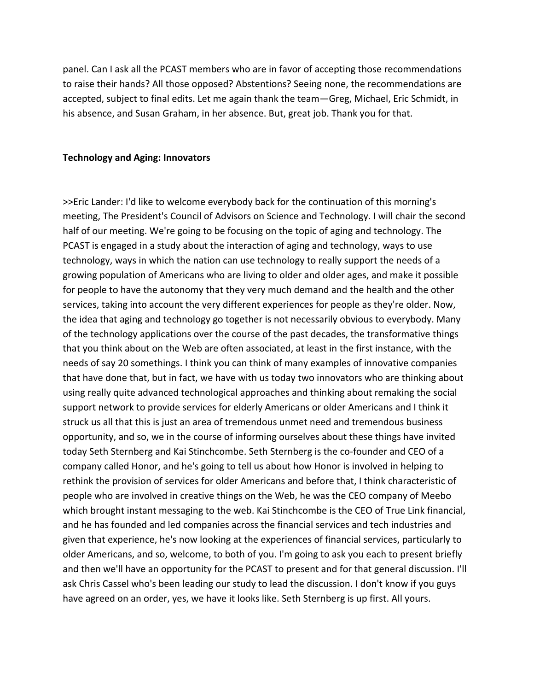panel. Can I ask all the PCAST members who are in favor of accepting those recommendations to raise their hands? All those opposed? Abstentions? Seeing none, the recommendations are accepted, subject to final edits. Let me again thank the team—Greg, Michael, Eric Schmidt, in his absence, and Susan Graham, in her absence. But, great job. Thank you for that.

#### **Technology and Aging: Innovators**

>>Eric Lander: I'd like to welcome everybody back for the continuation of this morning's meeting, The President's Council of Advisors on Science and Technology. I will chair the second half of our meeting. We're going to be focusing on the topic of aging and technology. The PCAST is engaged in a study about the interaction of aging and technology, ways to use technology, ways in which the nation can use technology to really support the needs of a growing population of Americans who are living to older and older ages, and make it possible for people to have the autonomy that they very much demand and the health and the other services, taking into account the very different experiences for people as they're older. Now, the idea that aging and technology go together is not necessarily obvious to everybody. Many of the technology applications over the course of the past decades, the transformative things that you think about on the Web are often associated, at least in the first instance, with the needs of say 20 somethings. I think you can think of many examples of innovative companies that have done that, but in fact, we have with us today two innovators who are thinking about using really quite advanced technological approaches and thinking about remaking the social support network to provide services for elderly Americans or older Americans and I think it struck us all that this is just an area of tremendous unmet need and tremendous business opportunity, and so, we in the course of informing ourselves about these things have invited today Seth Sternberg and Kai Stinchcombe. Seth Sternberg is the co-founder and CEO of a company called Honor, and he's going to tell us about how Honor is involved in helping to rethink the provision of services for older Americans and before that, I think characteristic of people who are involved in creative things on the Web, he was the CEO company of Meebo which brought instant messaging to the web. Kai Stinchcombe is the CEO of True Link financial, and he has founded and led companies across the financial services and tech industries and given that experience, he's now looking at the experiences of financial services, particularly to older Americans, and so, welcome, to both of you. I'm going to ask you each to present briefly and then we'll have an opportunity for the PCAST to present and for that general discussion. I'll ask Chris Cassel who's been leading our study to lead the discussion. I don't know if you guys have agreed on an order, yes, we have it looks like. Seth Sternberg is up first. All yours.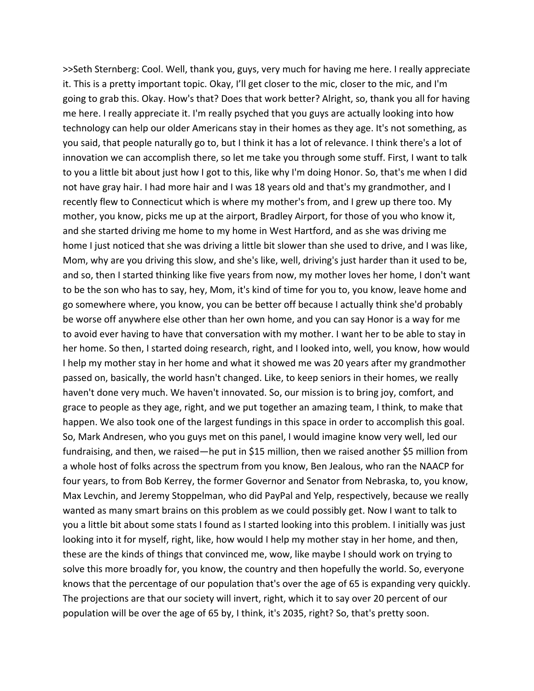>>Seth Sternberg: Cool. Well, thank you, guys, very much for having me here. I really appreciate it. This is a pretty important topic. Okay, I'll get closer to the mic, closer to the mic, and I'm going to grab this. Okay. How's that? Does that work better? Alright, so, thank you all for having me here. I really appreciate it. I'm really psyched that you guys are actually looking into how technology can help our older Americans stay in their homes as they age. It's not something, as you said, that people naturally go to, but I think it has a lot of relevance. I think there's a lot of innovation we can accomplish there, so let me take you through some stuff. First, I want to talk to you a little bit about just how I got to this, like why I'm doing Honor. So, that's me when I did not have gray hair. I had more hair and I was 18 years old and that's my grandmother, and I recently flew to Connecticut which is where my mother's from, and I grew up there too. My mother, you know, picks me up at the airport, Bradley Airport, for those of you who know it, and she started driving me home to my home in West Hartford, and as she was driving me home I just noticed that she was driving a little bit slower than she used to drive, and I was like, Mom, why are you driving this slow, and she's like, well, driving's just harder than it used to be, and so, then I started thinking like five years from now, my mother loves her home, I don't want to be the son who has to say, hey, Mom, it's kind of time for you to, you know, leave home and go somewhere where, you know, you can be better off because I actually think she'd probably be worse off anywhere else other than her own home, and you can say Honor is a way for me to avoid ever having to have that conversation with my mother. I want her to be able to stay in her home. So then, I started doing research, right, and I looked into, well, you know, how would I help my mother stay in her home and what it showed me was 20 years after my grandmother passed on, basically, the world hasn't changed. Like, to keep seniors in their homes, we really haven't done very much. We haven't innovated. So, our mission is to bring joy, comfort, and grace to people as they age, right, and we put together an amazing team, I think, to make that happen. We also took one of the largest fundings in this space in order to accomplish this goal. So, Mark Andresen, who you guys met on this panel, I would imagine know very well, led our fundraising, and then, we raised—he put in \$15 million, then we raised another \$5 million from a whole host of folks across the spectrum from you know, Ben Jealous, who ran the NAACP for four years, to from Bob Kerrey, the former Governor and Senator from Nebraska, to, you know, Max Levchin, and Jeremy Stoppelman, who did PayPal and Yelp, respectively, because we really wanted as many smart brains on this problem as we could possibly get. Now I want to talk to you a little bit about some stats I found as I started looking into this problem. I initially was just looking into it for myself, right, like, how would I help my mother stay in her home, and then, these are the kinds of things that convinced me, wow, like maybe I should work on trying to solve this more broadly for, you know, the country and then hopefully the world. So, everyone knows that the percentage of our population that's over the age of 65 is expanding very quickly. The projections are that our society will invert, right, which it to say over 20 percent of our population will be over the age of 65 by, I think, it's 2035, right? So, that's pretty soon.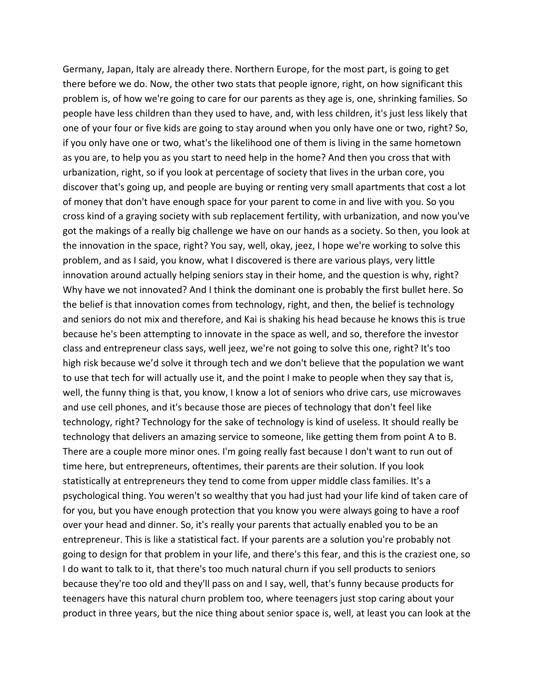Germany, Japan, Italy are already there. Northern Europe, for the most part, is going to get there before we do. Now, the other two stats that people ignore, right, on how significant this problem is, of how we're going to care for our parents as they age is, one, shrinking families. So people have less children than they used to have, and, with less children, it's just less likely that one of your four or five kids are going to stay around when you only have one or two, right? So, if you only have one or two, what's the likelihood one of them is living in the same hometown as you are, to help you as you start to need help in the home? And then you cross that with urbanization, right, so if you look at percentage of society that lives in the urban core, you discover that's going up, and people are buying or renting very small apartments that cost a lot of money that don't have enough space for your parent to come in and live with you. So you cross kind of a graying society with sub replacement fertility, with urbanization, and now you've got the makings of a really big challenge we have on our hands as a society. So then, you look at the innovation in the space, right? You say, well, okay, jeez, I hope we're working to solve this problem, and as I said, you know, what I discovered is there are various plays, very little innovation around actually helping seniors stay in their home, and the question is why, right? Why have we not innovated? And I think the dominant one is probably the first bullet here. So the belief is that innovation comes from technology, right, and then, the belief is technology and seniors do not mix and therefore, and Kai is shaking his head because he knows this is true because he's been attempting to innovate in the space as well, and so, therefore the investor class and entrepreneur class says, well jeez, we're not going to solve this one, right? It's too high risk because we'd solve it through tech and we don't believe that the population we want to use that tech for will actually use it, and the point I make to people when they say that is, well, the funny thing is that, you know, I know a lot of seniors who drive cars, use microwaves and use cell phones, and it's because those are pieces of technology that don't feel like technology, right? Technology for the sake of technology is kind of useless. It should really be technology that delivers an amazing service to someone, like getting them from point A to B. There are a couple more minor ones. I'm going really fast because I don't want to run out of time here, but entrepreneurs, oftentimes, their parents are their solution. If you look statistically at entrepreneurs they tend to come from upper middle class families. It's a psychological thing. You weren't so wealthy that you had just had your life kind of taken care of for you, but you have enough protection that you know you were always going to have a roof over your head and dinner. So, it's really your parents that actually enabled you to be an entrepreneur. This is like a statistical fact. If your parents are a solution you're probably not going to design for that problem in your life, and there's this fear, and this is the craziest one, so I do want to talk to it, that there's too much natural churn if you sell products to seniors because they're too old and they'll pass on and I say, well, that's funny because products for teenagers have this natural churn problem too, where teenagers just stop caring about your product in three years, but the nice thing about senior space is, well, at least you can look at the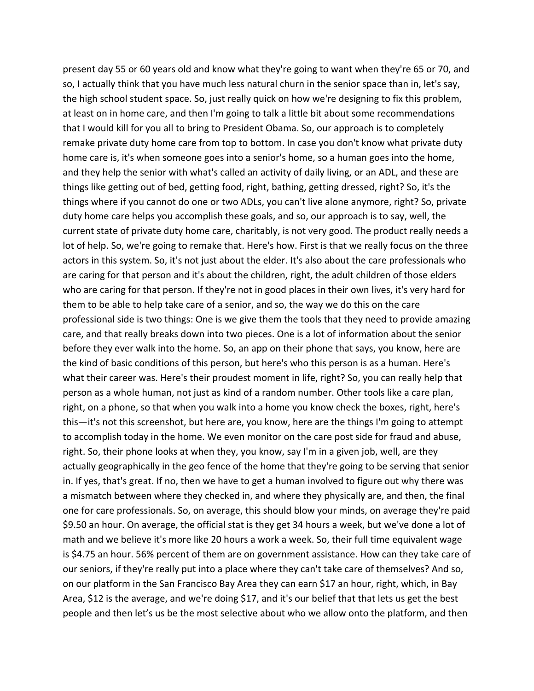present day 55 or 60 years old and know what they're going to want when they're 65 or 70, and so, I actually think that you have much less natural churn in the senior space than in, let's say, the high school student space. So, just really quick on how we're designing to fix this problem, at least on in home care, and then I'm going to talk a little bit about some recommendations that I would kill for you all to bring to President Obama. So, our approach is to completely remake private duty home care from top to bottom. In case you don't know what private duty home care is, it's when someone goes into a senior's home, so a human goes into the home, and they help the senior with what's called an activity of daily living, or an ADL, and these are things like getting out of bed, getting food, right, bathing, getting dressed, right? So, it's the things where if you cannot do one or two ADLs, you can't live alone anymore, right? So, private duty home care helps you accomplish these goals, and so, our approach is to say, well, the current state of private duty home care, charitably, is not very good. The product really needs a lot of help. So, we're going to remake that. Here's how. First is that we really focus on the three actors in this system. So, it's not just about the elder. It's also about the care professionals who are caring for that person and it's about the children, right, the adult children of those elders who are caring for that person. If they're not in good places in their own lives, it's very hard for them to be able to help take care of a senior, and so, the way we do this on the care professional side is two things: One is we give them the tools that they need to provide amazing care, and that really breaks down into two pieces. One is a lot of information about the senior before they ever walk into the home. So, an app on their phone that says, you know, here are the kind of basic conditions of this person, but here's who this person is as a human. Here's what their career was. Here's their proudest moment in life, right? So, you can really help that person as a whole human, not just as kind of a random number. Other tools like a care plan, right, on a phone, so that when you walk into a home you know check the boxes, right, here's this—it's not this screenshot, but here are, you know, here are the things I'm going to attempt to accomplish today in the home. We even monitor on the care post side for fraud and abuse, right. So, their phone looks at when they, you know, say I'm in a given job, well, are they actually geographically in the geo fence of the home that they're going to be serving that senior in. If yes, that's great. If no, then we have to get a human involved to figure out why there was a mismatch between where they checked in, and where they physically are, and then, the final one for care professionals. So, on average, this should blow your minds, on average they're paid \$9.50 an hour. On average, the official stat is they get 34 hours a week, but we've done a lot of math and we believe it's more like 20 hours a work a week. So, their full time equivalent wage is \$4.75 an hour. 56% percent of them are on government assistance. How can they take care of our seniors, if they're really put into a place where they can't take care of themselves? And so, on our platform in the San Francisco Bay Area they can earn \$17 an hour, right, which, in Bay Area, \$12 is the average, and we're doing \$17, and it's our belief that that lets us get the best people and then let's us be the most selective about who we allow onto the platform, and then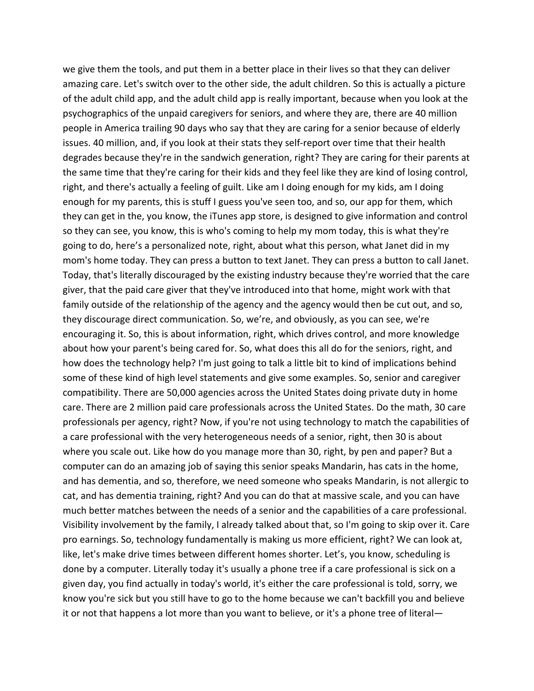we give them the tools, and put them in a better place in their lives so that they can deliver amazing care. Let's switch over to the other side, the adult children. So this is actually a picture of the adult child app, and the adult child app is really important, because when you look at the psychographics of the unpaid caregivers for seniors, and where they are, there are 40 million people in America trailing 90 days who say that they are caring for a senior because of elderly issues. 40 million, and, if you look at their stats they self‐report over time that their health degrades because they're in the sandwich generation, right? They are caring for their parents at the same time that they're caring for their kids and they feel like they are kind of losing control, right, and there's actually a feeling of guilt. Like am I doing enough for my kids, am I doing enough for my parents, this is stuff I guess you've seen too, and so, our app for them, which they can get in the, you know, the iTunes app store, is designed to give information and control so they can see, you know, this is who's coming to help my mom today, this is what they're going to do, here's a personalized note, right, about what this person, what Janet did in my mom's home today. They can press a button to text Janet. They can press a button to call Janet. Today, that's literally discouraged by the existing industry because they're worried that the care giver, that the paid care giver that they've introduced into that home, might work with that family outside of the relationship of the agency and the agency would then be cut out, and so, they discourage direct communication. So, we're, and obviously, as you can see, we're encouraging it. So, this is about information, right, which drives control, and more knowledge about how your parent's being cared for. So, what does this all do for the seniors, right, and how does the technology help? I'm just going to talk a little bit to kind of implications behind some of these kind of high level statements and give some examples. So, senior and caregiver compatibility. There are 50,000 agencies across the United States doing private duty in home care. There are 2 million paid care professionals across the United States. Do the math, 30 care professionals per agency, right? Now, if you're not using technology to match the capabilities of a care professional with the very heterogeneous needs of a senior, right, then 30 is about where you scale out. Like how do you manage more than 30, right, by pen and paper? But a computer can do an amazing job of saying this senior speaks Mandarin, has cats in the home, and has dementia, and so, therefore, we need someone who speaks Mandarin, is not allergic to cat, and has dementia training, right? And you can do that at massive scale, and you can have much better matches between the needs of a senior and the capabilities of a care professional. Visibility involvement by the family, I already talked about that, so I'm going to skip over it. Care pro earnings. So, technology fundamentally is making us more efficient, right? We can look at, like, let's make drive times between different homes shorter. Let's, you know, scheduling is done by a computer. Literally today it's usually a phone tree if a care professional is sick on a given day, you find actually in today's world, it's either the care professional is told, sorry, we know you're sick but you still have to go to the home because we can't backfill you and believe it or not that happens a lot more than you want to believe, or it's a phone tree of literal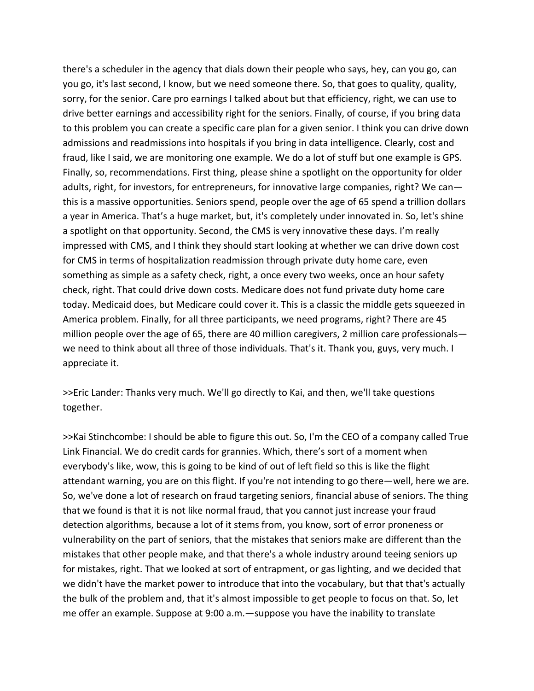there's a scheduler in the agency that dials down their people who says, hey, can you go, can you go, it's last second, I know, but we need someone there. So, that goes to quality, quality, sorry, for the senior. Care pro earnings I talked about but that efficiency, right, we can use to drive better earnings and accessibility right for the seniors. Finally, of course, if you bring data to this problem you can create a specific care plan for a given senior. I think you can drive down admissions and readmissions into hospitals if you bring in data intelligence. Clearly, cost and fraud, like I said, we are monitoring one example. We do a lot of stuff but one example is GPS. Finally, so, recommendations. First thing, please shine a spotlight on the opportunity for older adults, right, for investors, for entrepreneurs, for innovative large companies, right? We can this is a massive opportunities. Seniors spend, people over the age of 65 spend a trillion dollars a year in America. That's a huge market, but, it's completely under innovated in. So, let's shine a spotlight on that opportunity. Second, the CMS is very innovative these days. I'm really impressed with CMS, and I think they should start looking at whether we can drive down cost for CMS in terms of hospitalization readmission through private duty home care, even something as simple as a safety check, right, a once every two weeks, once an hour safety check, right. That could drive down costs. Medicare does not fund private duty home care today. Medicaid does, but Medicare could cover it. This is a classic the middle gets squeezed in America problem. Finally, for all three participants, we need programs, right? There are 45 million people over the age of 65, there are 40 million caregivers, 2 million care professionals we need to think about all three of those individuals. That's it. Thank you, guys, very much. I appreciate it.

>>Eric Lander: Thanks very much. We'll go directly to Kai, and then, we'll take questions together.

>>Kai Stinchcombe: I should be able to figure this out. So, I'm the CEO of a company called True Link Financial. We do credit cards for grannies. Which, there's sort of a moment when everybody's like, wow, this is going to be kind of out of left field so this is like the flight attendant warning, you are on this flight. If you're not intending to go there—well, here we are. So, we've done a lot of research on fraud targeting seniors, financial abuse of seniors. The thing that we found is that it is not like normal fraud, that you cannot just increase your fraud detection algorithms, because a lot of it stems from, you know, sort of error proneness or vulnerability on the part of seniors, that the mistakes that seniors make are different than the mistakes that other people make, and that there's a whole industry around teeing seniors up for mistakes, right. That we looked at sort of entrapment, or gas lighting, and we decided that we didn't have the market power to introduce that into the vocabulary, but that that's actually the bulk of the problem and, that it's almost impossible to get people to focus on that. So, let me offer an example. Suppose at 9:00 a.m.—suppose you have the inability to translate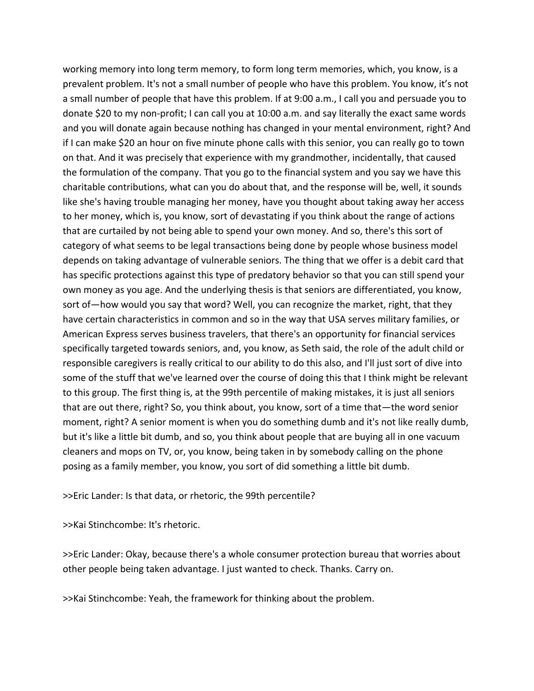working memory into long term memory, to form long term memories, which, you know, is a prevalent problem. It's not a small number of people who have this problem. You know, it's not a small number of people that have this problem. If at 9:00 a.m., I call you and persuade you to donate \$20 to my non‐profit; I can call you at 10:00 a.m. and say literally the exact same words and you will donate again because nothing has changed in your mental environment, right? And if I can make \$20 an hour on five minute phone calls with this senior, you can really go to town on that. And it was precisely that experience with my grandmother, incidentally, that caused the formulation of the company. That you go to the financial system and you say we have this charitable contributions, what can you do about that, and the response will be, well, it sounds like she's having trouble managing her money, have you thought about taking away her access to her money, which is, you know, sort of devastating if you think about the range of actions that are curtailed by not being able to spend your own money. And so, there's this sort of category of what seems to be legal transactions being done by people whose business model depends on taking advantage of vulnerable seniors. The thing that we offer is a debit card that has specific protections against this type of predatory behavior so that you can still spend your own money as you age. And the underlying thesis is that seniors are differentiated, you know, sort of—how would you say that word? Well, you can recognize the market, right, that they have certain characteristics in common and so in the way that USA serves military families, or American Express serves business travelers, that there's an opportunity for financial services specifically targeted towards seniors, and, you know, as Seth said, the role of the adult child or responsible caregivers is really critical to our ability to do this also, and I'll just sort of dive into some of the stuff that we've learned over the course of doing this that I think might be relevant to this group. The first thing is, at the 99th percentile of making mistakes, it is just all seniors that are out there, right? So, you think about, you know, sort of a time that—the word senior moment, right? A senior moment is when you do something dumb and it's not like really dumb, but it's like a little bit dumb, and so, you think about people that are buying all in one vacuum cleaners and mops on TV, or, you know, being taken in by somebody calling on the phone posing as a family member, you know, you sort of did something a little bit dumb.

>>Eric Lander: Is that data, or rhetoric, the 99th percentile?

>>Kai Stinchcombe: It's rhetoric.

>>Eric Lander: Okay, because there's a whole consumer protection bureau that worries about other people being taken advantage. I just wanted to check. Thanks. Carry on.

>>Kai Stinchcombe: Yeah, the framework for thinking about the problem.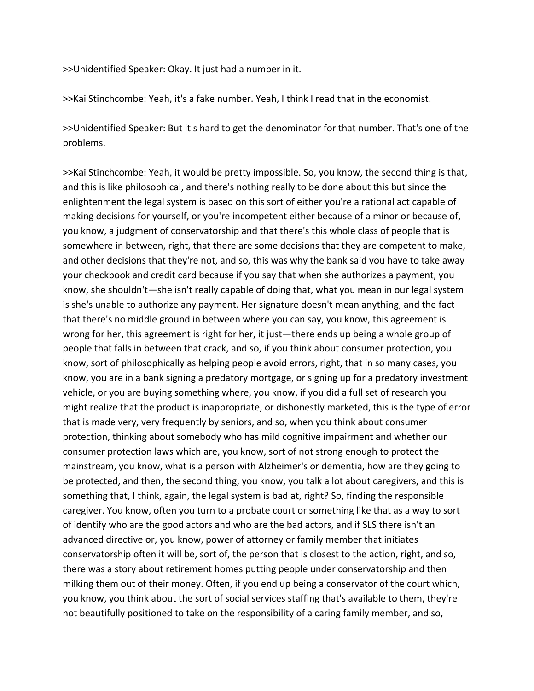>>Unidentified Speaker: Okay. It just had a number in it.

>>Kai Stinchcombe: Yeah, it's a fake number. Yeah, I think I read that in the economist.

>>Unidentified Speaker: But it's hard to get the denominator for that number. That's one of the problems.

>>Kai Stinchcombe: Yeah, it would be pretty impossible. So, you know, the second thing is that, and this is like philosophical, and there's nothing really to be done about this but since the enlightenment the legal system is based on this sort of either you're a rational act capable of making decisions for yourself, or you're incompetent either because of a minor or because of, you know, a judgment of conservatorship and that there's this whole class of people that is somewhere in between, right, that there are some decisions that they are competent to make, and other decisions that they're not, and so, this was why the bank said you have to take away your checkbook and credit card because if you say that when she authorizes a payment, you know, she shouldn't—she isn't really capable of doing that, what you mean in our legal system is she's unable to authorize any payment. Her signature doesn't mean anything, and the fact that there's no middle ground in between where you can say, you know, this agreement is wrong for her, this agreement is right for her, it just—there ends up being a whole group of people that falls in between that crack, and so, if you think about consumer protection, you know, sort of philosophically as helping people avoid errors, right, that in so many cases, you know, you are in a bank signing a predatory mortgage, or signing up for a predatory investment vehicle, or you are buying something where, you know, if you did a full set of research you might realize that the product is inappropriate, or dishonestly marketed, this is the type of error that is made very, very frequently by seniors, and so, when you think about consumer protection, thinking about somebody who has mild cognitive impairment and whether our consumer protection laws which are, you know, sort of not strong enough to protect the mainstream, you know, what is a person with Alzheimer's or dementia, how are they going to be protected, and then, the second thing, you know, you talk a lot about caregivers, and this is something that, I think, again, the legal system is bad at, right? So, finding the responsible caregiver. You know, often you turn to a probate court or something like that as a way to sort of identify who are the good actors and who are the bad actors, and if SLS there isn't an advanced directive or, you know, power of attorney or family member that initiates conservatorship often it will be, sort of, the person that is closest to the action, right, and so, there was a story about retirement homes putting people under conservatorship and then milking them out of their money. Often, if you end up being a conservator of the court which, you know, you think about the sort of social services staffing that's available to them, they're not beautifully positioned to take on the responsibility of a caring family member, and so,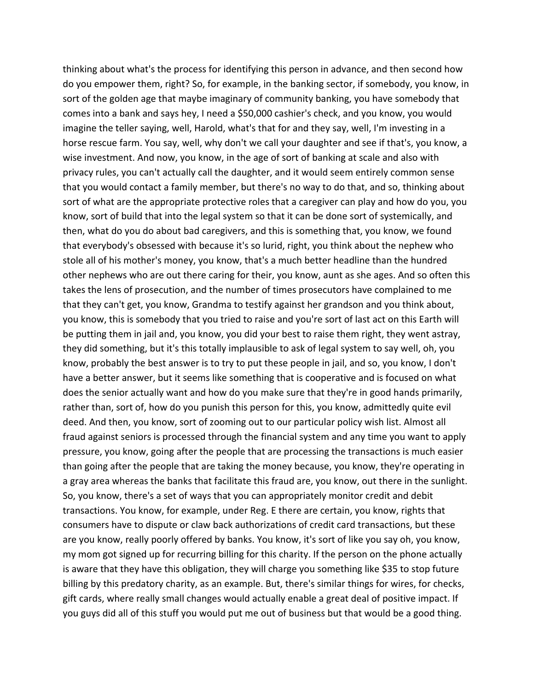thinking about what's the process for identifying this person in advance, and then second how do you empower them, right? So, for example, in the banking sector, if somebody, you know, in sort of the golden age that maybe imaginary of community banking, you have somebody that comes into a bank and says hey, I need a \$50,000 cashier's check, and you know, you would imagine the teller saying, well, Harold, what's that for and they say, well, I'm investing in a horse rescue farm. You say, well, why don't we call your daughter and see if that's, you know, a wise investment. And now, you know, in the age of sort of banking at scale and also with privacy rules, you can't actually call the daughter, and it would seem entirely common sense that you would contact a family member, but there's no way to do that, and so, thinking about sort of what are the appropriate protective roles that a caregiver can play and how do you, you know, sort of build that into the legal system so that it can be done sort of systemically, and then, what do you do about bad caregivers, and this is something that, you know, we found that everybody's obsessed with because it's so lurid, right, you think about the nephew who stole all of his mother's money, you know, that's a much better headline than the hundred other nephews who are out there caring for their, you know, aunt as she ages. And so often this takes the lens of prosecution, and the number of times prosecutors have complained to me that they can't get, you know, Grandma to testify against her grandson and you think about, you know, this is somebody that you tried to raise and you're sort of last act on this Earth will be putting them in jail and, you know, you did your best to raise them right, they went astray, they did something, but it's this totally implausible to ask of legal system to say well, oh, you know, probably the best answer is to try to put these people in jail, and so, you know, I don't have a better answer, but it seems like something that is cooperative and is focused on what does the senior actually want and how do you make sure that they're in good hands primarily, rather than, sort of, how do you punish this person for this, you know, admittedly quite evil deed. And then, you know, sort of zooming out to our particular policy wish list. Almost all fraud against seniors is processed through the financial system and any time you want to apply pressure, you know, going after the people that are processing the transactions is much easier than going after the people that are taking the money because, you know, they're operating in a gray area whereas the banks that facilitate this fraud are, you know, out there in the sunlight. So, you know, there's a set of ways that you can appropriately monitor credit and debit transactions. You know, for example, under Reg. E there are certain, you know, rights that consumers have to dispute or claw back authorizations of credit card transactions, but these are you know, really poorly offered by banks. You know, it's sort of like you say oh, you know, my mom got signed up for recurring billing for this charity. If the person on the phone actually is aware that they have this obligation, they will charge you something like \$35 to stop future billing by this predatory charity, as an example. But, there's similar things for wires, for checks, gift cards, where really small changes would actually enable a great deal of positive impact. If you guys did all of this stuff you would put me out of business but that would be a good thing.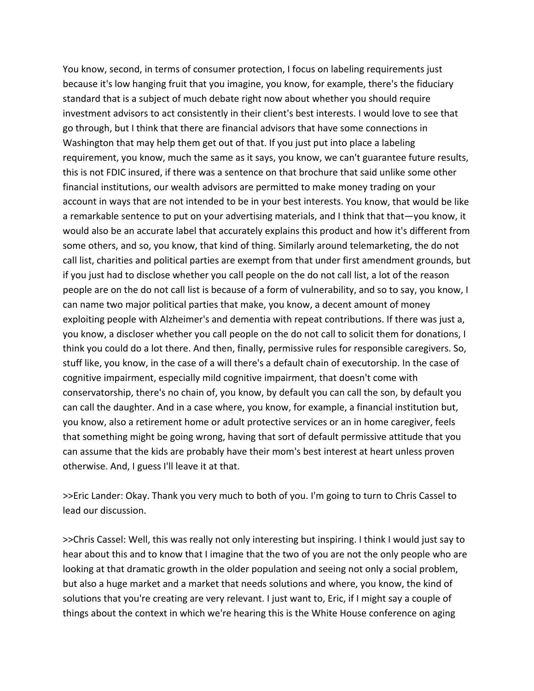You know, second, in terms of consumer protection, I focus on labeling requirements just because it's low hanging fruit that you imagine, you know, for example, there's the fiduciary standard that is a subject of much debate right now about whether you should require investment advisors to act consistently in their client's best interests. I would love to see that go through, but I think that there are financial advisors that have some connections in Washington that may help them get out of that. If you just put into place a labeling requirement, you know, much the same as it says, you know, we can't guarantee future results, this is not FDIC insured, if there was a sentence on that brochure that said unlike some other financial institutions, our wealth advisors are permitted to make money trading on your account in ways that are not intended to be in your best interests. You know, that would be like a remarkable sentence to put on your advertising materials, and I think that that—you know, it would also be an accurate label that accurately explains this product and how it's different from some others, and so, you know, that kind of thing. Similarly around telemarketing, the do not call list, charities and political parties are exempt from that under first amendment grounds, but if you just had to disclose whether you call people on the do not call list, a lot of the reason people are on the do not call list is because of a form of vulnerability, and so to say, you know, I can name two major political parties that make, you know, a decent amount of money exploiting people with Alzheimer's and dementia with repeat contributions. If there was just a, you know, a discloser whether you call people on the do not call to solicit them for donations, I think you could do a lot there. And then, finally, permissive rules for responsible caregivers. So, stuff like, you know, in the case of a will there's a default chain of executorship. In the case of cognitive impairment, especially mild cognitive impairment, that doesn't come with conservatorship, there's no chain of, you know, by default you can call the son, by default you can call the daughter. And in a case where, you know, for example, a financial institution but, you know, also a retirement home or adult protective services or an in home caregiver, feels that something might be going wrong, having that sort of default permissive attitude that you can assume that the kids are probably have their mom's best interest at heart unless proven otherwise. And, I guess I'll leave it at that.

>>Eric Lander: Okay. Thank you very much to both of you. I'm going to turn to Chris Cassel to lead our discussion.

>>Chris Cassel: Well, this was really not only interesting but inspiring. I think I would just say to hear about this and to know that I imagine that the two of you are not the only people who are looking at that dramatic growth in the older population and seeing not only a social problem, but also a huge market and a market that needs solutions and where, you know, the kind of solutions that you're creating are very relevant. I just want to, Eric, if I might say a couple of things about the context in which we're hearing this is the White House conference on aging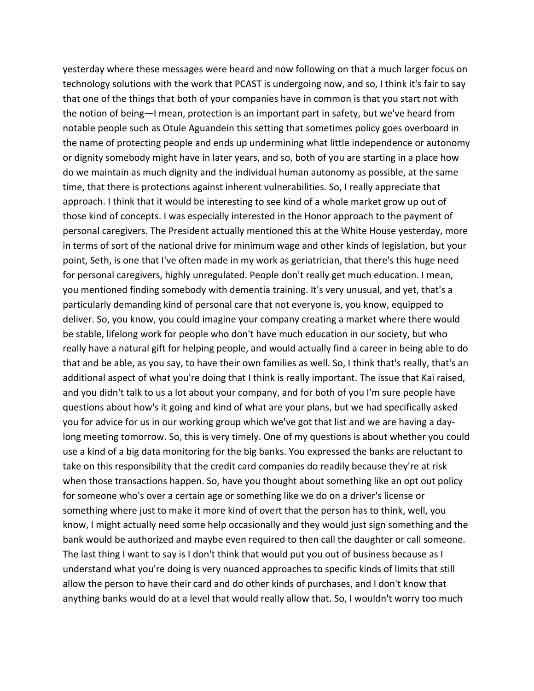yesterday where these messages were heard and now following on that a much larger focus on technology solutions with the work that PCAST is undergoing now, and so, I think it's fair to say that one of the things that both of your companies have in common is that you start not with the notion of being—I mean, protection is an important part in safety, but we've heard from notable people such as Otule Aguandein this setting that sometimes policy goes overboard in the name of protecting people and ends up undermining what little independence or autonomy or dignity somebody might have in later years, and so, both of you are starting in a place how do we maintain as much dignity and the individual human autonomy as possible, at the same time, that there is protections against inherent vulnerabilities. So, I really appreciate that approach. I think that it would be interesting to see kind of a whole market grow up out of those kind of concepts. I was especially interested in the Honor approach to the payment of personal caregivers. The President actually mentioned this at the White House yesterday, more in terms of sort of the national drive for minimum wage and other kinds of legislation, but your point, Seth, is one that I've often made in my work as geriatrician, that there's this huge need for personal caregivers, highly unregulated. People don't really get much education. I mean, you mentioned finding somebody with dementia training. It's very unusual, and yet, that's a particularly demanding kind of personal care that not everyone is, you know, equipped to deliver. So, you know, you could imagine your company creating a market where there would be stable, lifelong work for people who don't have much education in our society, but who really have a natural gift for helping people, and would actually find a career in being able to do that and be able, as you say, to have their own families as well. So, I think that's really, that's an additional aspect of what you're doing that I think is really important. The issue that Kai raised, and you didn't talk to us a lot about your company, and for both of you I'm sure people have questions about how's it going and kind of what are your plans, but we had specifically asked you for advice for us in our working group which we've got that list and we are having a day‐ long meeting tomorrow. So, this is very timely. One of my questions is about whether you could use a kind of a big data monitoring for the big banks. You expressed the banks are reluctant to take on this responsibility that the credit card companies do readily because they're at risk when those transactions happen. So, have you thought about something like an opt out policy for someone who's over a certain age or something like we do on a driver's license or something where just to make it more kind of overt that the person has to think, well, you know, I might actually need some help occasionally and they would just sign something and the bank would be authorized and maybe even required to then call the daughter or call someone. The last thing I want to say is I don't think that would put you out of business because as I understand what you're doing is very nuanced approaches to specific kinds of limits that still allow the person to have their card and do other kinds of purchases, and I don't know that anything banks would do at a level that would really allow that. So, I wouldn't worry too much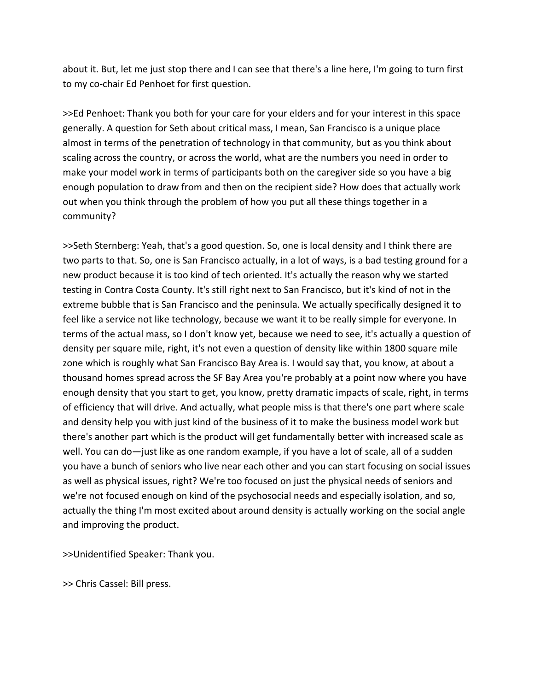about it. But, let me just stop there and I can see that there's a line here, I'm going to turn first to my co‐chair Ed Penhoet for first question.

>>Ed Penhoet: Thank you both for your care for your elders and for your interest in this space generally. A question for Seth about critical mass, I mean, San Francisco is a unique place almost in terms of the penetration of technology in that community, but as you think about scaling across the country, or across the world, what are the numbers you need in order to make your model work in terms of participants both on the caregiver side so you have a big enough population to draw from and then on the recipient side? How does that actually work out when you think through the problem of how you put all these things together in a community?

>>Seth Sternberg: Yeah, that's a good question. So, one is local density and I think there are two parts to that. So, one is San Francisco actually, in a lot of ways, is a bad testing ground for a new product because it is too kind of tech oriented. It's actually the reason why we started testing in Contra Costa County. It's still right next to San Francisco, but it's kind of not in the extreme bubble that is San Francisco and the peninsula. We actually specifically designed it to feel like a service not like technology, because we want it to be really simple for everyone. In terms of the actual mass, so I don't know yet, because we need to see, it's actually a question of density per square mile, right, it's not even a question of density like within 1800 square mile zone which is roughly what San Francisco Bay Area is. I would say that, you know, at about a thousand homes spread across the SF Bay Area you're probably at a point now where you have enough density that you start to get, you know, pretty dramatic impacts of scale, right, in terms of efficiency that will drive. And actually, what people miss is that there's one part where scale and density help you with just kind of the business of it to make the business model work but there's another part which is the product will get fundamentally better with increased scale as well. You can do—just like as one random example, if you have a lot of scale, all of a sudden you have a bunch of seniors who live near each other and you can start focusing on social issues as well as physical issues, right? We're too focused on just the physical needs of seniors and we're not focused enough on kind of the psychosocial needs and especially isolation, and so, actually the thing I'm most excited about around density is actually working on the social angle and improving the product.

>>Unidentified Speaker: Thank you.

>> Chris Cassel: Bill press.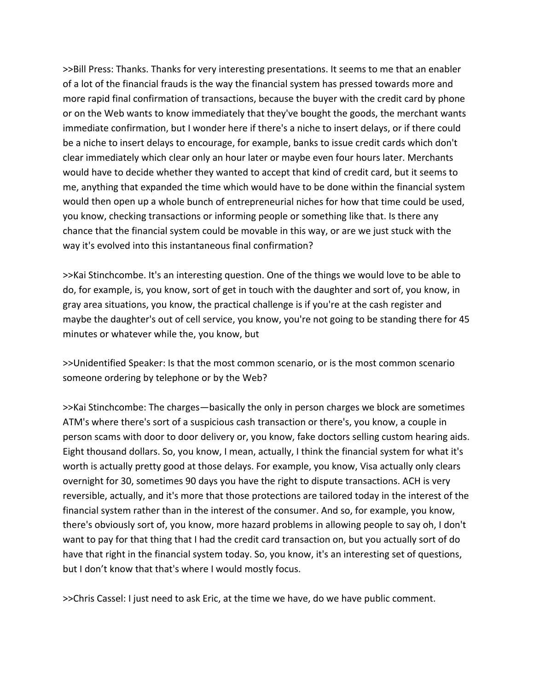>>Bill Press: Thanks. Thanks for very interesting presentations. It seems to me that an enabler of a lot of the financial frauds is the way the financial system has pressed towards more and more rapid final confirmation of transactions, because the buyer with the credit card by phone or on the Web wants to know immediately that they've bought the goods, the merchant wants immediate confirmation, but I wonder here if there's a niche to insert delays, or if there could be a niche to insert delays to encourage, for example, banks to issue credit cards which don't clear immediately which clear only an hour later or maybe even four hours later. Merchants would have to decide whether they wanted to accept that kind of credit card, but it seems to me, anything that expanded the time which would have to be done within the financial system would then open up a whole bunch of entrepreneurial niches for how that time could be used, you know, checking transactions or informing people or something like that. Is there any chance that the financial system could be movable in this way, or are we just stuck with the way it's evolved into this instantaneous final confirmation?

>>Kai Stinchcombe. It's an interesting question. One of the things we would love to be able to do, for example, is, you know, sort of get in touch with the daughter and sort of, you know, in gray area situations, you know, the practical challenge is if you're at the cash register and maybe the daughter's out of cell service, you know, you're not going to be standing there for 45 minutes or whatever while the, you know, but

>>Unidentified Speaker: Is that the most common scenario, or is the most common scenario someone ordering by telephone or by the Web?

>>Kai Stinchcombe: The charges—basically the only in person charges we block are sometimes ATM's where there's sort of a suspicious cash transaction or there's, you know, a couple in person scams with door to door delivery or, you know, fake doctors selling custom hearing aids. Eight thousand dollars. So, you know, I mean, actually, I think the financial system for what it's worth is actually pretty good at those delays. For example, you know, Visa actually only clears overnight for 30, sometimes 90 days you have the right to dispute transactions. ACH is very reversible, actually, and it's more that those protections are tailored today in the interest of the financial system rather than in the interest of the consumer. And so, for example, you know, there's obviously sort of, you know, more hazard problems in allowing people to say oh, I don't want to pay for that thing that I had the credit card transaction on, but you actually sort of do have that right in the financial system today. So, you know, it's an interesting set of questions, but I don't know that that's where I would mostly focus.

>>Chris Cassel: I just need to ask Eric, at the time we have, do we have public comment.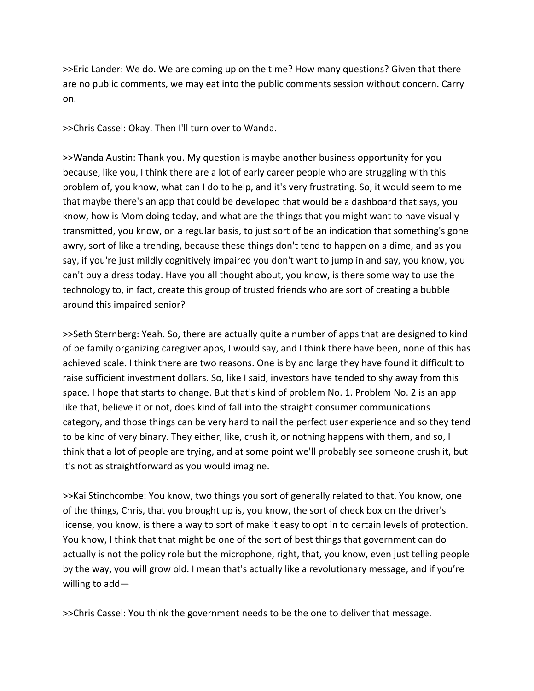>>Eric Lander: We do. We are coming up on the time? How many questions? Given that there are no public comments, we may eat into the public comments session without concern. Carry on.

>>Chris Cassel: Okay. Then I'll turn over to Wanda.

>>Wanda Austin: Thank you. My question is maybe another business opportunity for you because, like you, I think there are a lot of early career people who are struggling with this problem of, you know, what can I do to help, and it's very frustrating. So, it would seem to me that maybe there's an app that could be developed that would be a dashboard that says, you know, how is Mom doing today, and what are the things that you might want to have visually transmitted, you know, on a regular basis, to just sort of be an indication that something's gone awry, sort of like a trending, because these things don't tend to happen on a dime, and as you say, if you're just mildly cognitively impaired you don't want to jump in and say, you know, you can't buy a dress today. Have you all thought about, you know, is there some way to use the technology to, in fact, create this group of trusted friends who are sort of creating a bubble around this impaired senior?

>>Seth Sternberg: Yeah. So, there are actually quite a number of apps that are designed to kind of be family organizing caregiver apps, I would say, and I think there have been, none of this has achieved scale. I think there are two reasons. One is by and large they have found it difficult to raise sufficient investment dollars. So, like I said, investors have tended to shy away from this space. I hope that starts to change. But that's kind of problem No. 1. Problem No. 2 is an app like that, believe it or not, does kind of fall into the straight consumer communications category, and those things can be very hard to nail the perfect user experience and so they tend to be kind of very binary. They either, like, crush it, or nothing happens with them, and so, I think that a lot of people are trying, and at some point we'll probably see someone crush it, but it's not as straightforward as you would imagine.

>>Kai Stinchcombe: You know, two things you sort of generally related to that. You know, one of the things, Chris, that you brought up is, you know, the sort of check box on the driver's license, you know, is there a way to sort of make it easy to opt in to certain levels of protection. You know, I think that that might be one of the sort of best things that government can do actually is not the policy role but the microphone, right, that, you know, even just telling people by the way, you will grow old. I mean that's actually like a revolutionary message, and if you're willing to add—

>>Chris Cassel: You think the government needs to be the one to deliver that message.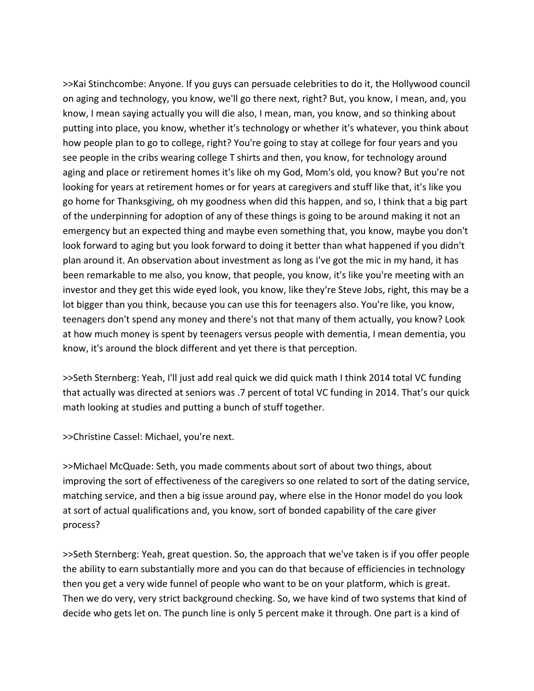>>Kai Stinchcombe: Anyone. If you guys can persuade celebrities to do it, the Hollywood council on aging and technology, you know, we'll go there next, right? But, you know, I mean, and, you know, I mean saying actually you will die also, I mean, man, you know, and so thinking about putting into place, you know, whether it's technology or whether it's whatever, you think about how people plan to go to college, right? You're going to stay at college for four years and you see people in the cribs wearing college T shirts and then, you know, for technology around aging and place or retirement homes it's like oh my God, Mom's old, you know? But you're not looking for years at retirement homes or for years at caregivers and stuff like that, it's like you go home for Thanksgiving, oh my goodness when did this happen, and so, I think that a big part of the underpinning for adoption of any of these things is going to be around making it not an emergency but an expected thing and maybe even something that, you know, maybe you don't look forward to aging but you look forward to doing it better than what happened if you didn't plan around it. An observation about investment as long as I've got the mic in my hand, it has been remarkable to me also, you know, that people, you know, it's like you're meeting with an investor and they get this wide eyed look, you know, like they're Steve Jobs, right, this may be a lot bigger than you think, because you can use this for teenagers also. You're like, you know, teenagers don't spend any money and there's not that many of them actually, you know? Look at how much money is spent by teenagers versus people with dementia, I mean dementia, you know, it's around the block different and yet there is that perception.

>>Seth Sternberg: Yeah, I'll just add real quick we did quick math I think 2014 total VC funding that actually was directed at seniors was .7 percent of total VC funding in 2014. That's our quick math looking at studies and putting a bunch of stuff together.

>>Christine Cassel: Michael, you're next.

>>Michael McQuade: Seth, you made comments about sort of about two things, about improving the sort of effectiveness of the caregivers so one related to sort of the dating service, matching service, and then a big issue around pay, where else in the Honor model do you look at sort of actual qualifications and, you know, sort of bonded capability of the care giver process?

>>Seth Sternberg: Yeah, great question. So, the approach that we've taken is if you offer people the ability to earn substantially more and you can do that because of efficiencies in technology then you get a very wide funnel of people who want to be on your platform, which is great. Then we do very, very strict background checking. So, we have kind of two systems that kind of decide who gets let on. The punch line is only 5 percent make it through. One part is a kind of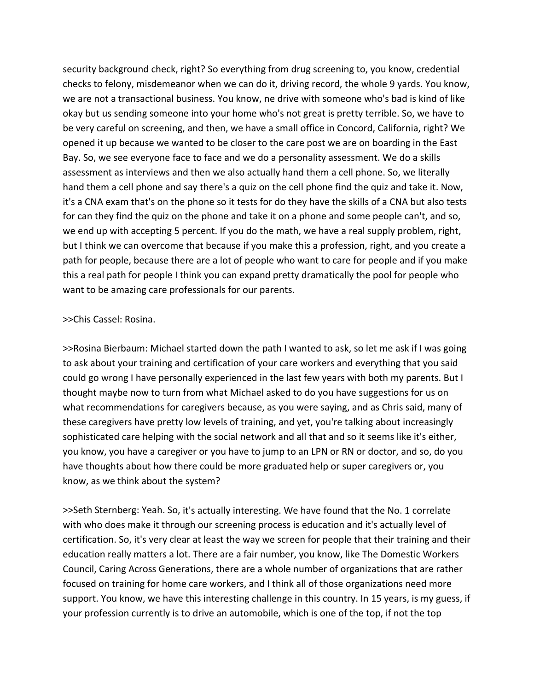security background check, right? So everything from drug screening to, you know, credential checks to felony, misdemeanor when we can do it, driving record, the whole 9 yards. You know, we are not a transactional business. You know, ne drive with someone who's bad is kind of like okay but us sending someone into your home who's not great is pretty terrible. So, we have to be very careful on screening, and then, we have a small office in Concord, California, right? We opened it up because we wanted to be closer to the care post we are on boarding in the East Bay. So, we see everyone face to face and we do a personality assessment. We do a skills assessment as interviews and then we also actually hand them a cell phone. So, we literally hand them a cell phone and say there's a quiz on the cell phone find the quiz and take it. Now, it's a CNA exam that's on the phone so it tests for do they have the skills of a CNA but also tests for can they find the quiz on the phone and take it on a phone and some people can't, and so, we end up with accepting 5 percent. If you do the math, we have a real supply problem, right, but I think we can overcome that because if you make this a profession, right, and you create a path for people, because there are a lot of people who want to care for people and if you make this a real path for people I think you can expand pretty dramatically the pool for people who want to be amazing care professionals for our parents.

### >>Chis Cassel: Rosina.

>>Rosina Bierbaum: Michael started down the path I wanted to ask, so let me ask if I was going to ask about your training and certification of your care workers and everything that you said could go wrong I have personally experienced in the last few years with both my parents. But I thought maybe now to turn from what Michael asked to do you have suggestions for us on what recommendations for caregivers because, as you were saying, and as Chris said, many of these caregivers have pretty low levels of training, and yet, you're talking about increasingly sophisticated care helping with the social network and all that and so it seems like it's either, you know, you have a caregiver or you have to jump to an LPN or RN or doctor, and so, do you have thoughts about how there could be more graduated help or super caregivers or, you know, as we think about the system?

>>Seth Sternberg: Yeah. So, it's actually interesting. We have found that the No. 1 correlate with who does make it through our screening process is education and it's actually level of certification. So, it's very clear at least the way we screen for people that their training and their education really matters a lot. There are a fair number, you know, like The Domestic Workers Council, Caring Across Generations, there are a whole number of organizations that are rather focused on training for home care workers, and I think all of those organizations need more support. You know, we have this interesting challenge in this country. In 15 years, is my guess, if your profession currently is to drive an automobile, which is one of the top, if not the top